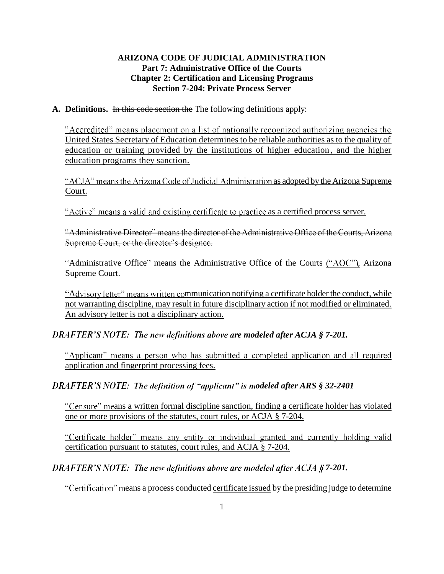# **ARIZONA CODE OF JUDICIAL ADMINISTRATION Part 7: Administrative Office of the Courts Chapter 2: Certification and Licensing Programs Section 7-204: Private Process Server**

#### **A. Definitions.** In this code section the The following definitions apply:

"Accredited" means placement on a list of nationally recognized authorizing agencies the United States Secretary of Education determines to be reliable authorities as to the quality of education or training provided by the institutions of higher education , and the higher education programs they sanction.

"ACJA" means the Arizona Code of Judicial Administration as adopted by the Arizona Supreme Court.

"Active" means a valid and existing certificate to practice as a certified process server.

"Administrative Director" means the director of the Administrative Office of the Courts, Arizona Supreme Court, or the director's designee.

"Administrative Office" means the Administrative Office of the Courts ("AOC"), Arizona Supreme Court.

"Advisory letter" means written communication notifying a certificate holder the conduct, while not warranting discipline, may result in future disciplinary action if not modified or eliminated. An advisory letter is not a disciplinary action.

*DRAFTER'S NOTE: The new definitions above are modeled after ACJA § 7-201.* 

"Applicant" means a person who has submitted a completed application and all required application and fingerprint processing fees.

*DRAFTER'S NOTE: The definition of "applicant" is modeled after ARS § 32-2401* 

"Censure" means a written formal discipline sanction, finding a certificate holder has violated one or more provisions of the statutes, court rules, or ACJA § 7-204.

"Certificate holder" means any entity or individual granted and currently holding valid certification pursuant to statutes, court rules, and ACJA § 7-204.

*DRAFTER'S NOTE: The new definitions above are modeled after ACJA § 7-201.* 

"Certification" means a process conducted certificate issued by the presiding judge to determine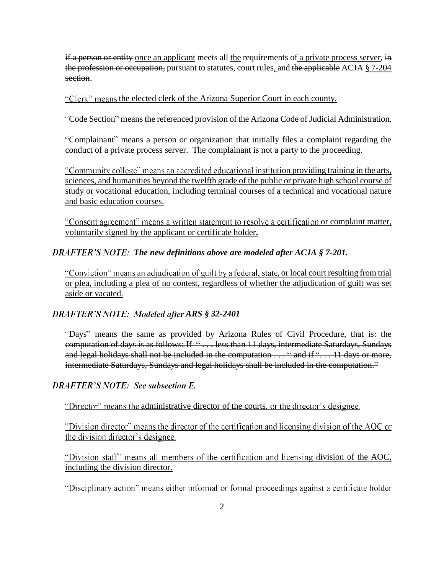if a person or entity once an applicant meets all the requirements of a private process server, in the profession or occupation, pursuant to statutes, court rules, and the applicable ACJA § 7-204 section.

"Clerk" means the elected clerk of the Arizona Superior Court in each county.

"Code Section" means the referenced provision of the Arizona Code of Judicial Administration.

"Complainant" means a person or organization that initially files a complaint regarding the conduct of a private process server. The complainant is not a party to the proceeding.

"Community college" means an accredited educational institution providing training in the arts, sciences, and humanities beyond the twelfth grade of the public or private high school course of study or vocational education, including terminal courses of a technical and vocational nature and basic education courses.

"Consent agreement" means a written statement to resolve a certification or complaint matter, voluntarily signed by the applicant or certificate holder**.**

# *The new definitions above are modeled after ACJA § 7-201.*

"Conviction" means an adjudication of guilt by a federal, state, or local court resulting from trial or plea, including a plea of no contest, regardless of whether the adjudication of guilt was set aside or vacated.

# *DRAFTER'S NOTE: Modeled after ARS § 32-2401*

"Days" means the same as provided by Arizona Rules of Civil Procedure, that is: the computation of days is as follows: If "... less than 11 days, intermediate Saturdays, Sundays and legal holidays shall not be included in the computation  $\dots$  " and if " $\dots$  11 days or more, intermediate Saturdays, Sundays and legal holidays shall be included in the computation.

# **DRAFTER'S NOTE: See subsection E.**

"Director" means the administrative director of the courts, or the director's designee.

"Division director" means the director of the certification and licensing division of the AOC or the division director's designee.

"Division staff" means all members of the certification and licensing division of the AOC, including the division director.

"Disciplinary action" means either informal or formal proceedings against a certificate holder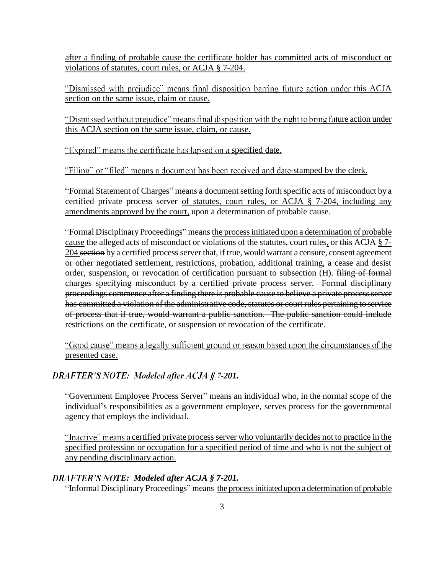after a finding of probable cause the certificate holder has committed acts of misconduct or violations of statutes, court rules, or ACJA § 7-204.

"Dismissed with prejudice" means final disposition barring future action under this ACJA section on the same issue, claim or cause.

"Dismissed without prejudice" means final disposition with the right to bring future action under this ACJA section on the same issue, claim, or cause.

"Expired" means the certificate has lapsed on a specified date.

"Filing" or "filed" means a document has been received and date-stamped by the clerk.

"Formal Statement of Charges" means a document setting forth specific acts of misconduct by a certified private process server of statutes, court rules, or ACJA § 7-204, including any amendments approved by the court, upon a determination of probable cause.

Formal Disciplinary Proceedings means the process initiated upon a determination of probable cause the alleged acts of misconduct or violations of the statutes, court rules, or this ACJA § 7-204 section by a certified process server that, if true, would warrant a censure, consent agreement or other negotiated settlement, restrictions, probation, additional training, a cease and desist order, suspension, or revocation of certification pursuant to subsection (H). filing of formal charges specifying misconduct by a certified private process server. Formal disciplinary proceedings commence after a finding there is probable cause to believe a private process server has committed a violation of the administrative code, statutes or court rules pertaining to service of process that if true, would warrant a public sanction. The public sanction could include restrictions on the certificate, or suspension or revocation of the certificate.

"Good cause" means a legally sufficient ground or reason based upon the circumstances of the presented case.

# **DRAFTER'S NOTE: Modeled after ACJA § 7-201.**

"Government Employee Process Server" means an individual who, in the normal scope of the individual's responsibilities as a government employee, serves process for the governmental agency that employs the individual.

"Inactive" means a certified private process server who voluntarily decides not to practice in the specified profession or occupation for a specified period of time and who is not the subject of any pending disciplinary action.

# *TE: Modeled after ACJA § 7-201.*

"Informal Disciplinary Proceedings" means the process initiated upon a determination of probable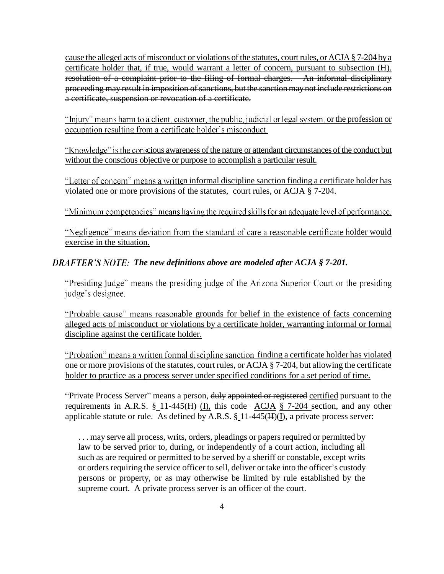cause the alleged acts of misconduct or violations of the statutes, court rules, or ACJA § 7-204 by a certificate holder that, if true, would warrant a letter of concern, pursuant to subsection (H). resolution of a complaint prior to the filing of formal charges. An informal disciplinary proceeding may result in imposition of sanctions, but the sanction may not include restrictions on a certificate, suspension or revocation of a certificate.

"Injury" means harm to a client, customer, the public, judicial or legal system, or the profession or occupation resulting from a certificate holder's misconduct.

"Knowledge" is the conscious awareness of the nature or attendant circumstances of the conduct but without the conscious objective or purpose to accomplish a particular result.

"Letter of concern" means a written informal discipline sanction finding a certificate holder has violated one or more provisions of the statutes, court rules, or ACJA § 7-204.

"Minimum competencies" means having the required skills for an adequate level of performance.

"Negligence" means deviation from the standard of care a reasonable certificate holder would exercise in the situation.

## *The new definitions above are modeled after ACJA § 7-201.*

"Presiding judge" means the presiding judge of the Arizona Superior Court or the presiding judge's designee.

"Probable cause" means reasonable grounds for belief in the existence of facts concerning alleged acts of misconduct or violations by a certificate holder, warranting informal or formal discipline against the certificate holder.

"Probation" means a written formal discipline sanction finding a certificate holder has violated one or more provisions of the statutes, court rules, or ACJA § 7-204, but allowing the certificate holder to practice as a process server under specified conditions for a set period of time.

"Private Process Server" means a person, duly appointed or registered certified pursuant to the requirements in A.R.S.  $\S$  11-445(H) (I), this code ACJA  $\S$  7-204 section, and any other applicable statute or rule. As defined by A.R.S.  $\S$ <sub>11</sub>-445( $H$ )(I), a private process server:

... may serve all process, writs, orders, pleadings or papers required or permitted by law to be served prior to, during, or independently of a court action, including all such as are required or permitted to be served by a sheriff or constable, except writs or orders requiring the service officer to sell, deliver or take into the officer's custody persons or property, or as may otherwise be limited by rule established by the supreme court. A private process server is an officer of the court.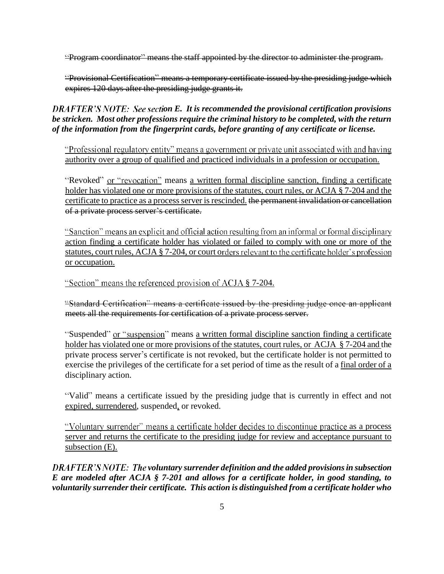"Program coordinator" means the staff appointed by the director to administer the program.

"Provisional Certification" means a temporary certificate issued by the presiding judge which expires 120 days after the presiding judge grants it.

**DRAFTER'S NOTE:** See section E. It is recommended the provisional certification provisions *be stricken. Most other professions require the criminal history to be completed, with the return of the information from the fingerprint cards, before granting of any certificate or license.* 

"Professional regulatory entity" means a government or private unit associated with and having authority over a group of qualified and practiced individuals in a profession or occupation.

"Revoked" or "revocation" means a written formal discipline sanction, finding a certificate holder has violated one or more provisions of the statutes, court rules, or ACJA § 7-204 and the certificate to practice as a process server is rescinded. the permanent invalidation or cancellation of a private process server's certificate.

"Sanction" means an explicit and official action resulting from an informal or formal disciplinary action finding a certificate holder has violated or failed to comply with one or more of the statutes, court rules, ACJA § 7-204, or court orders relevant to the certificate holder's profession or occupation.

"Section" means the referenced provision of ACJA § 7-204.

"Standard Certification" means a certificate issued by the presiding judge once an applicant meets all the requirements for certification of a private process server.

"Suspended" or "suspension" means a written formal discipline sanction finding a certificate holder has violated one or more provisions of the statutes, court rules, or ACJA § 7-204 and the private process server's certificate is not revoked, but the certificate holder is not permitted to exercise the privileges of the certificate for a set period of time as the result of a final order of a disciplinary action.

"Valid" means a certificate issued by the presiding judge that is currently in effect and not expired, surrendered, suspended, or revoked.

"Voluntary surrender" means a certificate holder decides to discontinue practice as a process server and returns the certificate to the presiding judge for review and acceptance pursuant to subsection (E).

*DRAFTER'S NOTE: The voluntary surrender definition and the added provisions in subsection E are modeled after ACJA § 7-201 and allows for a certificate holder, in good standing, to voluntarily surrender their certificate. This action is distinguished from a certificate holder who*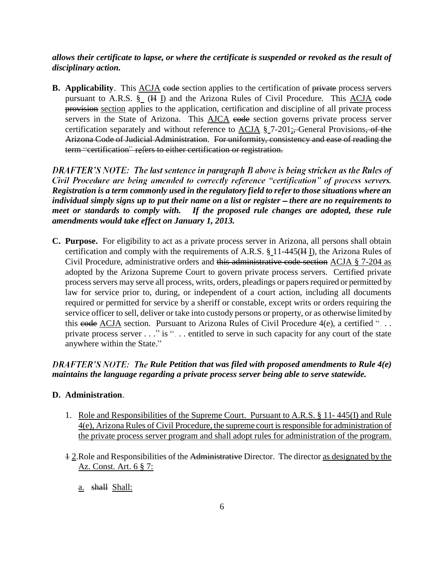# *allows their certificate to lapse, or where the certificate is suspended or revoked as the result of disciplinary action.*

**B.** Applicability. This ACJA code section applies to the certification of private process servers pursuant to A.R.S.  $\S$  (H I) and the Arizona Rules of Civil Procedure. This ACJA code provision section applies to the application, certification and discipline of all private process servers in the State of Arizona. This **AJCA** code section governs private process server certification separately and without reference to  $ACJA \$  7-201: General Provisions, of the Arizona Code of Judicial Administration. For uniformity, consistency and ease of reading the term "certification" refers to either certification or registration.

DRAFTER'S NOTE: The last sentence in paragraph B above is being stricken as the Rules of Civil Procedure are being amended to correctly reference "certification" of process servers. *Registration is a term commonly used in the regulatory field to refer to those situations where an individual simply signs up to put their name on a list or register – there are no requirements to meet or standards to comply with. If the proposed rule changes are adopted, these rule amendments would take effect on January 1, 2013.*

**C. Purpose.** For eligibility to act as a private process server in Arizona, all persons shall obtain certification and comply with the requirements of A.R.S. § 11-445(H I), the Arizona Rules of Civil Procedure, administrative orders and this administrative code section ACJA § 7-204 as adopted by the Arizona Supreme Court to govern private process servers. Certified private process servers may serve all process, writs, orders, pleadings or papers required or permitted by law for service prior to, during, or independent of a court action, including all documents required or permitted for service by a sheriff or constable, except writs or orders requiring the service officer to sell, deliver or take into custody persons or property, or as otherwise limited by this  $e$ **ode** ACJA section. Pursuant to Arizona Rules of Civil Procedure 4(e), a certified "... private process server . . ." is ". . . entitled to serve in such capacity for any court of the state anywhere within the State.

# *DRAFTER'S NOTE: The Rule Petition that was filed with proposed amendments to Rule 4(e) maintains the language regarding a private process server being able to serve statewide.*

### **D. Administration**.

- 1. Role and Responsibilities of the Supreme Court. Pursuant to A.R.S. § 11- 445(I) and Rule 4(e), Arizona Rules of Civil Procedure, the supreme court is responsible for administration of the private process server program and shall adopt rules for administration of the program.
- 1 2. Role and Responsibilities of the Administrative Director. The director as designated by the Az. Const. Art. 6 § 7:
	- a. shall Shall: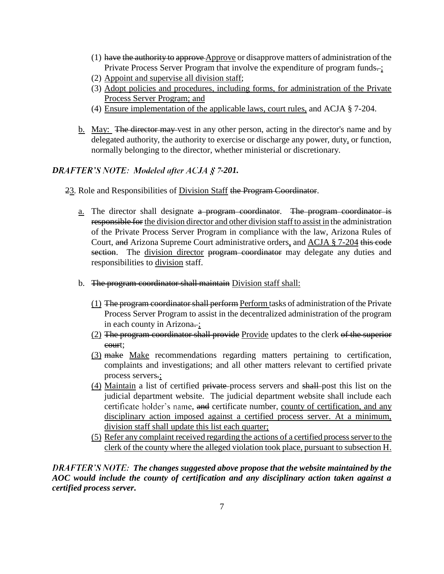- $(1)$  have the authority to approve  $\Delta$ pprove or disapprove matters of administration of the Private Process Server Program that involve the expenditure of program funds-;
- (2) Appoint and supervise all division staff;
- (3) Adopt policies and procedures, including forms, for administration of the Private Process Server Program; and
- (4) Ensure implementation of the applicable laws, court rules, and ACJA § 7-204.
- b. May: The director may vest in any other person, acting in the director's name and by delegated authority, the authority to exercise or discharge any power, duty, or function, normally belonging to the director, whether ministerial or discretionary.

# *DRAFTER'S NOTE: Modeled after ACJA § 7-201.*

- 23. Role and Responsibilities of Division Staff the Program Coordinator.
	- a. The director shall designate a program coordinator. The program coordinator is responsible for the division director and other division staff to assist in the administration of the Private Process Server Program in compliance with the law, Arizona Rules of Court, and Arizona Supreme Court administrative orders, and ACJA § 7-204 this code section. The division director program coordinator may delegate any duties and responsibilities to division staff.
	- b. The program coordinator shall maintain Division staff shall:
		- (1) The program coordinator shall perform Perform tasks of administration of the Private Process Server Program to assist in the decentralized administration of the program in each county in Arizona...;
		- (2) The program coordinator shall provide Provide updates to the clerk of the superior court;
		- (3) make Make recommendations regarding matters pertaining to certification, complaints and investigations; and all other matters relevant to certified private process servers.;
		- (4) Maintain a list of certified private process servers and shall post this list on the judicial department website. The judicial department website shall include each certificate holder's name, and certificate number, county of certification, and any disciplinary action imposed against a certified process server. At a minimum, division staff shall update this list each quarter;
		- (5) Refer any complaint received regarding the actions of a certified process server to the clerk of the county where the alleged violation took place, pursuant to subsection H.

*The changes suggested above propose that the website maintained by the AOC would include the county of certification and any disciplinary action taken against a certified process server.*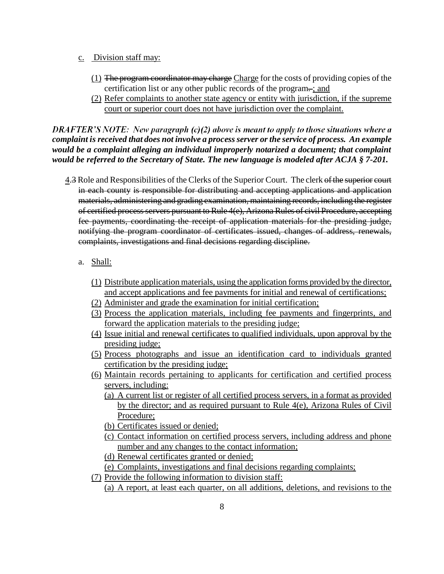- c. Division staff may:
	- $(1)$  The program coordinator may charge Charge for the costs of providing copies of the certification list or any other public records of the program-; and
	- (2) Refer complaints to another state agency or entity with jurisdiction, if the supreme court or superior court does not have jurisdiction over the complaint.

DRAFTER'S NOTE: New paragraph (c)(2) above is meant to apply to those situations where a *complaint is received that does not involve a process server or the service of process. An example would be a complaint alleging an individual improperly notarized a document; that complaint would be referred to the Secretary of State. The new language is modeled after ACJA § 7-201.*

- 4.3 Role and Responsibilities of the Clerks of the Superior Court. The clerk of the superior court in each county is responsible for distributing and accepting applications and application materials, administering and grading examination, maintaining records, including the register of certified process servers pursuant to Rule 4(e), Arizona Rules of civil Procedure, accepting fee payments, coordinating the receipt of application materials for the presiding judge, notifying the program coordinator of certificates issued, changes of address, renewals, complaints, investigations and final decisions regarding discipline.
	- a. Shall:
		- (1) Distribute application materials, using the application forms provided by the director, and accept applications and fee payments for initial and renewal of certifications;
		- (2) Administer and grade the examination for initial certification;
		- (3) Process the application materials, including fee payments and fingerprints, and forward the application materials to the presiding judge;
		- (4) Issue initial and renewal certificates to qualified individuals, upon approval by the presiding judge;
		- (5) Process photographs and issue an identification card to individuals granted certification by the presiding judge;
		- (6) Maintain records pertaining to applicants for certification and certified process servers, including:
			- (a) A current list or register of all certified process servers, in a format as provided by the director; and as required pursuant to Rule 4(e), Arizona Rules of Civil Procedure;
			- (b) Certificates issued or denied;
			- (c) Contact information on certified process servers, including address and phone number and any changes to the contact information;
			- (d) Renewal certificates granted or denied;
			- (e) Complaints, investigations and final decisions regarding complaints;
		- (7) Provide the following information to division staff:

(a) A report, at least each quarter, on all additions, deletions, and revisions to the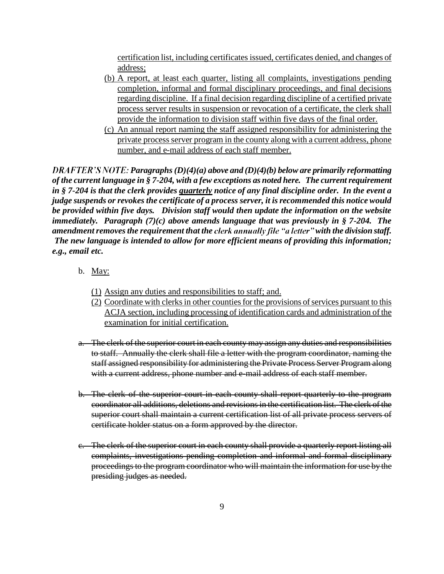certification list, including certificates issued, certificates denied, and changes of address;

- (b) A report, at least each quarter, listing all complaints, investigations pending completion, informal and formal disciplinary proceedings, and final decisions regarding discipline. If a final decision regarding discipline of a certified private process server results in suspension or revocation of a certificate, the clerk shall provide the information to division staff within five days of the final order.
- (c) An annual report naming the staff assigned responsibility for administering the private process server program in the county along with a current address, phone number, and e-mail address of each staff member.

*PRAFTER'S NOTE: Paragraphs (D)(4)(a) above and (D)(4)(b) below are primarily reformatting of the current language in § 7-204, with a few exceptions as noted here. The current requirement in § 7-204 is that the clerk provides quarterly notice of any final discipline order. In the event a judge suspends or revokes the certificate of a process server, it is recommended this notice would be provided within five days. Division staff would then update the information on the website immediately. Paragraph (7)(c) above amends language that was previously in § 7-204. The dimendment removes the requirement that the clerk annually file "a letter" with the division staff. The new language is intended to allow for more efficient means of providing this information; e.g., email etc.* 

- b. May:
	- (1) Assign any duties and responsibilities to staff; and.
	- (2) Coordinate with clerks in other counties for the provisions of services pursuant to this ACJA section, including processing of identification cards and administration of the examination for initial certification.
- a. The clerk of the superior court in each county may assign any duties and responsibilities to staff. Annually the clerk shall file a letter with the program coordinator, naming the staff assigned responsibility for administering the Private Process Server Program along with a current address, phone number and e-mail address of each staff member.
- b. The clerk of the superior court in each county shall report quarterly to the program coordinator all additions, deletions and revisions in the certification list. The clerk of the superior court shall maintain a current certification list of all private process servers of certificate holder status on a form approved by the director.
- c. The clerk of the superior court in each county shall provide a quarterly report listing all complaints, investigations pending completion and informal and formal disciplinary proceedings to the program coordinator who will maintain the information for use by the presiding judges as needed.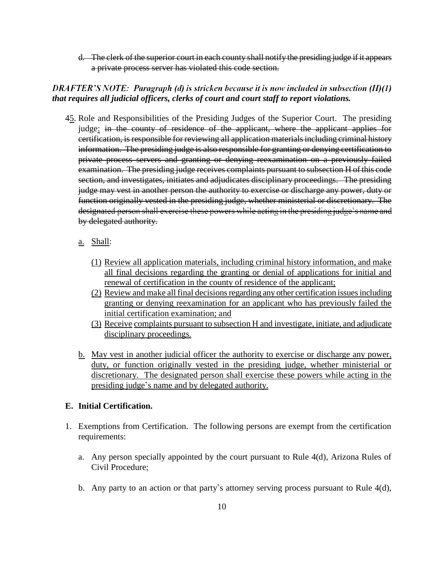d. The clerk of the superior court in each county shall notify the presiding judge if it appears a private process server has violated this code section.

## $DRAFTER'S NOTE:$  Paragraph (d) is stricken because it is now included in subsection  $(H)(1)$ *that requires all judicial officers, clerks of court and court staff to report violations.*

- 45. Role and Responsibilities of the Presiding Judges of the Superior Court. The presiding judge: in the county of residence of the applicant, where the applicant applies for certification, is responsible for reviewing all application materials including criminal history information. The presiding judge is also responsible for granting or denying certification to private process servers and granting or denying reexamination on a previously failed examination. The presiding judge receives complaints pursuant to subsection H of this code section, and investigates, initiates and adjudicates disciplinary proceedings. The presiding judge may vest in another person the authority to exercise or discharge any power, duty or function originally vested in the presiding judge, whether ministerial or discretionary. The designated person shall exercise these powers while acting in the presiding judge's name and by delegated authority.
	- a. Shall:
		- (1) Review all application materials, including criminal history information, and make all final decisions regarding the granting or denial of applications for initial and renewal of certification in the county of residence of the applicant;
		- (2) Review and make all final decisions regarding any other certification issues including granting or denying reexamination for an applicant who has previously failed the initial certification examination; and
		- (3) Receive complaints pursuant to subsection H and investigate, initiate, and adjudicate disciplinary proceedings.
	- b. May vest in another judicial officer the authority to exercise or discharge any power, duty, or function originally vested in the presiding judge, whether ministerial or discretionary. The designated person shall exercise these powers while acting in the presiding judge's name and by delegated authority.

### **E. Initial Certification.**

- 1. Exemptions from Certification. The following persons are exempt from the certification requirements:
	- a. Any person specially appointed by the court pursuant to Rule 4(d), Arizona Rules of Civil Procedure;
	- b. Any party to an action or that party's attorney serving process pursuant to Rule  $4(d)$ ,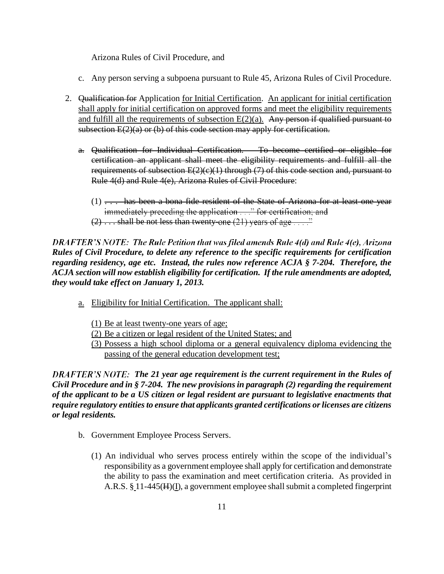Arizona Rules of Civil Procedure, and

- c. Any person serving a subpoena pursuant to Rule 45, Arizona Rules of Civil Procedure.
- 2. Qualification for Application for Initial Certification.An applicant for initial certification shall apply for initial certification on approved forms and meet the eligibility requirements and fulfill all the requirements of subsection  $E(2)(a)$ . Any person if qualified pursuant to subsection  $E(2)(a)$  or (b) of this code section may apply for certification.
	- a. Qualification for Individual Certification. To become certified or eligible for certification an applicant shall meet the eligibility requirements and fulfill all the requirements of subsection  $E(2)(c)(1)$  through (7) of this code section and, pursuant to Rule 4(d) and Rule 4(e), Arizona Rules of Civil Procedure:
		- (1)  $\dots$  has been a bona fide resident of the State of Arizona for at least one year immediately preceding the application  $\dots$  ' for certification; and
		- $(2) \ldots$  shall be not less than twenty-one  $(21)$  years of age ...."

**DRAFTER'S NOTE: The Rule Petition that was filed amends Rule 4(d) and Rule 4(e), Arizona** *Rules of Civil Procedure, to delete any reference to the specific requirements for certification regarding residency, age etc. Instead, the rules now reference ACJA § 7-204. Therefore, the ACJA section will now establish eligibility for certification. If the rule amendments are adopted, they would take effect on January 1, 2013.*

- a. Eligibility for Initial Certification. The applicant shall:
	- (1) Be at least twenty-one years of age;
	- (2) Be a citizen or legal resident of the United States; and
	- (3) Possess a high school diploma or a general equivalency diploma evidencing the passing of the general education development test;

*The 21 year age requirement is the current requirement in the Rules of Civil Procedure and in § 7-204. The new provisions in paragraph (2) regarding the requirement of the applicant to be a US citizen or legal resident are pursuant to legislative enactments that require regulatory entities to ensure that applicants granted certifications or licenses are citizens or legal residents.* 

- b. Government Employee Process Servers.
	- (1) An individual who serves process entirely within the scope of the individual s responsibility as a government employee shall apply for certification and demonstrate the ability to pass the examination and meet certification criteria. As provided in A.R.S. § 11-445(H)(I), a government employee shall submit a completed fingerprint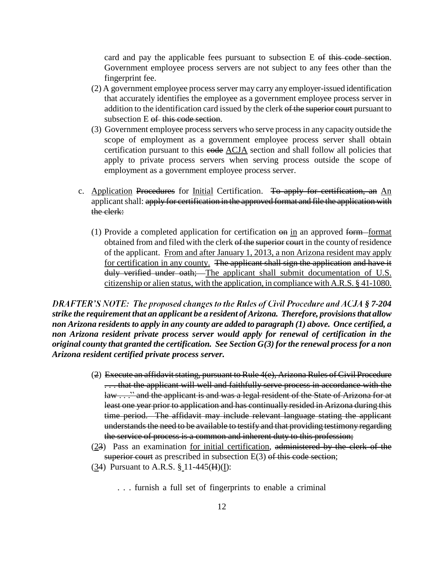card and pay the applicable fees pursuant to subsection E of this code section. Government employee process servers are not subject to any fees other than the fingerprint fee.

- (2) A government employee process server may carry any employer-issued identification that accurately identifies the employee as a government employee process server in addition to the identification card issued by the clerk of the superior court pursuant to subsection E of this code section.
- (3) Government employee process servers who serve process in any capacity outside the scope of employment as a government employee process server shall obtain certification pursuant to this code ACJA section and shall follow all policies that apply to private process servers when serving process outside the scope of employment as a government employee process server.
- c. Application Procedures for Initial Certification. To apply for certification, an An applicant shall: apply for certification in the approved format and file the application with the clerk:
	- (1) Provide a completed application for certification  $\Theta$  in an approved form format obtained from and filed with the clerk of the superior court in the county of residence of the applicant. From and after January 1, 2013, a non Arizona resident may apply for certification in any county. The applicant shall sign the application and have it duly verified under oath; The applicant shall submit documentation of U.S. citizenship or alien status, with the application, in compliance with A.R.S. § 41-1080.

**DRAFTER'S NOTE: The proposed changes to the Rules of Civil Procedure and ACJA § 7-204** *strike the requirement that an applicant be a resident of Arizona. Therefore, provisions that allow non Arizona residents to apply in any county are added to paragraph (1) above. Once certified, a non Arizona resident private process server would apply for renewal of certification in the original county that granted the certification. See Section G(3) for the renewal process for a non Arizona resident certified private process server.* 

- (2) Execute an affidavit stating, pursuant to Rule 4(e), Arizona Rules of Civil Procedure ... that the applicant will well and faithfully serve process in accordance with the law . . . " and the applicant is and was a legal resident of the State of Arizona for at least one year prior to application and has continually resided in Arizona during this time period. The affidavit may include relevant language stating the applicant understands the need to be available to testify and that providing testimony regarding the service of process is a common and inherent duty to this profession;
- (23) Pass an examination for initial certification, administered by the clerk of the superior court as prescribed in subsection  $E(3)$  of this code section;
- (34) Pursuant to A.R.S.  $\S 11-445(H)(I)$ :
	- . . . furnish a full set of fingerprints to enable a criminal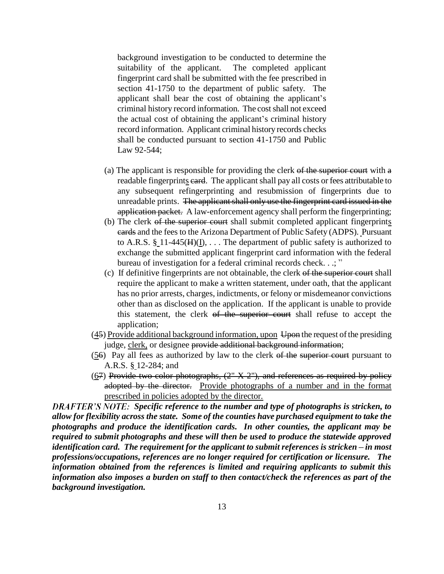background investigation to be conducted to determine the suitability of the applicant. The completed applicant fingerprint card shall be submitted with the fee prescribed in section 41-1750 to the department of public safety. The applicant shall bear the cost of obtaining the applicant's criminal history record information. The cost shall not exceed the actual cost of obtaining the applicant's criminal history record information. Applicant criminal history records checks shall be conducted pursuant to section 41-1750 and Public Law 92-544;

- (a) The applicant is responsible for providing the clerk of the superior court with  $a$ readable fingerprints card. The applicant shall pay all costs or fees attributable to any subsequent refingerprinting and resubmission of fingerprints due to unreadable prints. The applicant shall only use the fingerprint card issued in the application packet. A law-enforcement agency shall perform the fingerprinting;
- (b) The clerk of the superior court shall submit completed applicant fingerprints cards and the fees to the Arizona Department of Public Safety (ADPS). Pursuant to A.R.S.  $\S$ <sub>-11</sub>-445(H)(<u>I</u>), ... The department of public safety is authorized to exchange the submitted applicant fingerprint card information with the federal bureau of investigation for a federal criminal records check. . .; "
- (c) If definitive fingerprints are not obtainable, the clerk of the superior court shall require the applicant to make a written statement, under oath, that the applicant has no prior arrests, charges, indictments, or felony or misdemeanor convictions other than as disclosed on the application. If the applicant is unable to provide this statement, the clerk of the superior court shall refuse to accept the application;
- $(45)$  Provide additional background information, upon Upon the request of the presiding judge, clerk, or designee provide additional background information;
- (56) Pay all fees as authorized by law to the clerk of the superior court pursuant to A.R.S. § 12-284; and
- $(67)$  Provide two color photographs,  $(2'' \times 2'')$ , and references as required by policy adopted by the director. Provide photographs of a number and in the format prescribed in policies adopted by the director.

**DRAFTER'S NOTE:** Specific reference to the number and type of photographs is stricken, to *allow for flexibility across the state. Some of the counties have purchased equipment to take the photographs and produce the identification cards. In other counties, the applicant may be required to submit photographs and these will then be used to produce the statewide approved identification card. The requirement for the applicant to submit references is stricken – in most professions/occupations, references are no longer required for certification or licensure. The information obtained from the references is limited and requiring applicants to submit this information also imposes a burden on staff to then contact/check the references as part of the background investigation.*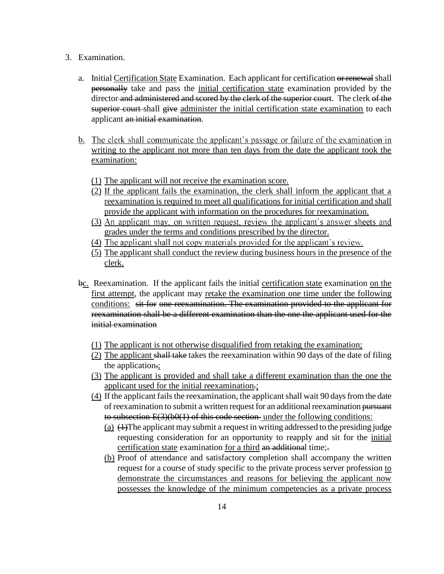- 3. Examination.
	- a. Initial Certification State Examination. Each applicant for certification or renewal shall personally take and pass the initial certification state examination provided by the director and administered and scored by the clerk of the superior court. The clerk of the superior court shall give administer the initial certification state examination to each applicant an initial examination.
	- b. The clerk shall communicate the applicant's passage or failure of the examination in writing to the applicant not more than ten days from the date the applicant took the examination:
		- (1) The applicant will not receive the examination score.
		- (2) If the applicant fails the examination, the clerk shall inform the applicant that a reexamination is required to meet all qualifications for initial certification and shall provide the applicant with information on the procedures for reexamination.
		- (3) An applicant may, on written request, review the applicant's answer sheets and grades under the terms and conditions prescribed by the director.
		- (4) The applicant shall not copy materials provided for the applicant's review.
		- (5) The applicant shall conduct the review during business hours in the presence of the clerk.
	- bc. Reexamination. If the applicant fails the initial certification state examination on the first attempt, the applicant may retake the examination one time under the following conditions: sit for one reexamination. The examination provided to the applicant for reexamination shall be a different examination than the one the applicant used for the initial examination
		- (1) The applicant is not otherwise disqualified from retaking the examination;
		- (2) The applicant shall take takes the reexamination within 90 days of the date of filing the application.;
		- (3) The applicant is provided and shall take a different examination than the one the applicant used for the initial reexamination.;
		- (4) If the applicant fails the reexamination, the applicant shall wait 90 days from the date of reexamination to submit a written request for an additional reexamination pursuant to subsection  $E(3)(b0(1)$  of this code section under the following conditions:
			- (a) (1)The applicant may submit a request in writing addressed to the presiding judge requesting consideration for an opportunity to reapply and sit for the initial certification state examination for a third an additional time;-
			- (b) Proof of attendance and satisfactory completion shall accompany the written request for a course of study specific to the private process server profession to demonstrate the circumstances and reasons for believing the applicant now possesses the knowledge of the minimum competencies as a private process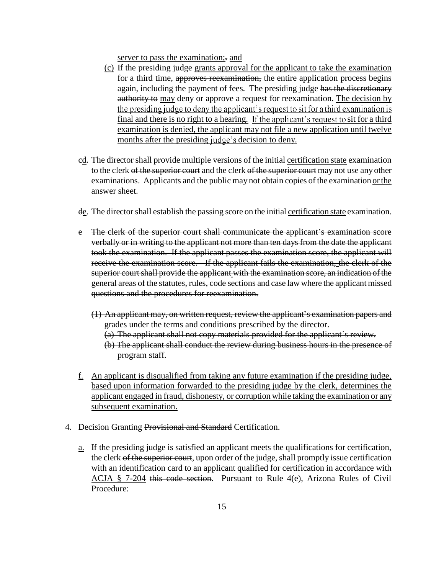server to pass the examination; and

- (c) If the presiding judge grants approval for the applicant to take the examination for a third time, approves reexamination, the entire application process begins again, including the payment of fees. The presiding judge has the discretionary authority to may deny or approve a request for reexamination. The decision by the presiding judge to deny the applicant's request to sit for a third examination is final and there is no right to a hearing. If the applicant's request to sit for a third examination is denied, the applicant may not file a new application until twelve months after the presiding judge's decision to deny.
- cd. The director shall provide multiple versions of the initial certification state examination to the clerk of the superior court and the clerk of the superior court may not use any other examinations. Applicants and the public may not obtain copies of the examination or the answer sheet.
- de. The director shall establish the passing score on the initial certification state examination.
- e The clerk of the superior court shall communicate the applicant's examination score verbally or in writing to the applicant not more than ten days from the date the applicant took the examination. If the applicant passes the examination score, the applicant will receive the examination score. If the applicant fails the examination, the clerk of the superior court shall provide the applicant with the examination score, an indication of the general areas of the statutes, rules, code sections and case law where the applicant missed questions and the procedures for reexamination.
	- (1) An applicant may, on written request, review the applicant's examination papers and grades under the terms and conditions prescribed by the director.
		- $(a)$  The applicant shall not copy materials provided for the applicant's review.
		- (b) The applicant shall conduct the review during business hours in the presence of program staff.
- f. An applicant is disqualified from taking any future examination if the presiding judge, based upon information forwarded to the presiding judge by the clerk, determines the applicant engaged in fraud, dishonesty, or corruption while taking the examination or any subsequent examination.
- 4. Decision Granting Provisional and Standard Certification.
	- a. If the presiding judge is satisfied an applicant meets the qualifications for certification, the clerk of the superior court, upon order of the judge, shall promptly issue certification with an identification card to an applicant qualified for certification in accordance with ACJA § 7-204 this code section. Pursuant to Rule 4(e), Arizona Rules of Civil Procedure: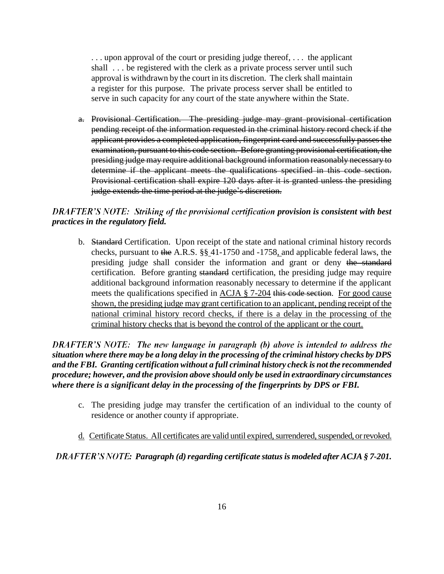. . . upon approval of the court or presiding judge thereof, . . . the applicant shall . . . be registered with the clerk as a private process server until such approval is withdrawn by the court in its discretion. The clerk shall maintain a register for this purpose. The private process server shall be entitled to serve in such capacity for any court of the state anywhere within the State.

a. Provisional Certification.The presiding judge may grant provisional certification pending receipt of the information requested in the criminal history record check if the applicant provides a completed application, fingerprint card and successfully passes the examination, pursuant to this code section. Before granting provisional certification, the presiding judge may require additional background information reasonably necessary to determine if the applicant meets the qualifications specified in this code section. Provisional certification shall expire 120 days after it is granted unless the presiding judge extends the time period at the judge's discretion.

# *DRAFTER'S NOTE: Striking of the provisional certification provision is consistent with best practices in the regulatory field.*

b. Standard Certification.Upon receipt of the state and national criminal history records checks, pursuant to the A.R.S. §§ 41-1750 and -1758, and applicable federal laws, the presiding judge shall consider the information and grant or deny the standard certification. Before granting standard certification, the presiding judge may require additional background information reasonably necessary to determine if the applicant meets the qualifications specified in ACJA § 7-204 this code section. For good cause shown, the presiding judge may grant certification to an applicant, pending receipt of the national criminal history record checks, if there is a delay in the processing of the criminal history checks that is beyond the control of the applicant or the court.

DRAFTER'S NOTE: The new language in paragraph (b) above is intended to address the *situation where there may be a long delay in the processing of the criminal history checks by DPS and the FBI. Granting certification without a full criminal history check is not the recommended procedure; however, and the provision above should only be used in extraordinary circumstances where there is a significant delay in the processing of the fingerprints by DPS or FBI.*

- c. The presiding judge may transfer the certification of an individual to the county of residence or another county if appropriate.
- d. Certificate Status. All certificates are valid until expired, surrendered, suspended, or revoked.

*: Paragraph (d)regarding certificate status is modeled after ACJA § 7-201.*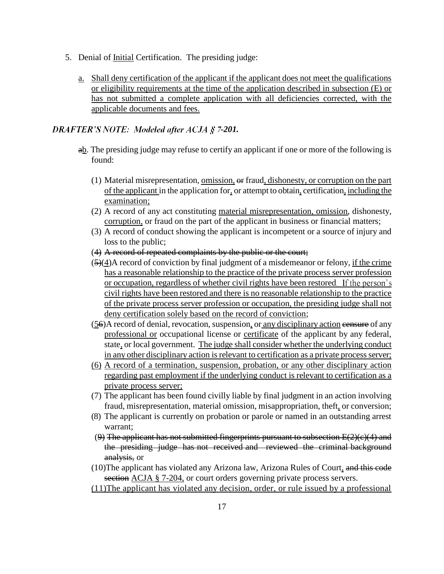- 5. Denial of <u>Initial</u> Certification. The presiding judge:
	- a. Shall deny certification of the applicant if the applicant does not meet the qualifications or eligibility requirements at the time of the application described in subsection (E) or has not submitted a complete application with all deficiencies corrected, with the applicable documents and fees.

# **DRAFTER'S NOTE: Modeled after ACJA § 7-201.**

- ab. The presiding judge may refuse to certify an applicant if one or more of the following is found:
	- (1) Material misrepresentation, omission, or fraud, dishonesty, or corruption on the part of the applicant in the application for, or attempt to obtain, certification, including the examination;
	- (2) A record of any act constituting material misrepresentation, omission, dishonesty, corruption, or fraud on the part of the applicant in business or financial matters;
	- (3) A record of conduct showing the applicant is incompetent or a source of injury and loss to the public;
	- (4) A record of repeated complaints by the public or the court;
	- (5)(4)A record of conviction by final judgment of a misdemeanor or felony, if the crime has a reasonable relationship to the practice of the private process server profession or occupation, regardless of whether civil rights have been restored civil rights have been restored and there is no reasonable relationship to the practice of the private process server profession or occupation, the presiding judge shall not deny certification solely based on the record of conviction;
	- (56)A record of denial, revocation, suspension, or any disciplinary action censure of any professional or occupational license or certificate of the applicant by any federal, state, or local government. The judge shall consider whether the underlying conduct in any other disciplinary action is relevant to certification as a private process server;
	- (6) A record of a termination, suspension, probation, or any other disciplinary action regarding past employment if the underlying conduct is relevant to certification as a private process server;
	- (7) The applicant has been found civilly liable by final judgment in an action involving fraud, misrepresentation, material omission, misappropriation, theft, or conversion;
	- (8) The applicant is currently on probation or parole or named in an outstanding arrest warrant;
	- $(9)$  The applicant has not submitted fingerprints pursuant to subsection  $E(2)(e)(4)$  and the presiding judge has not received and reviewed the criminal background analysis, or
	- (10)The applicant has violated any Arizona law, Arizona Rules of Court, and this code section ACJA § 7-204, or court orders governing private process servers.
	- (11)The applicant has violated any decision, order, or rule issued by a professional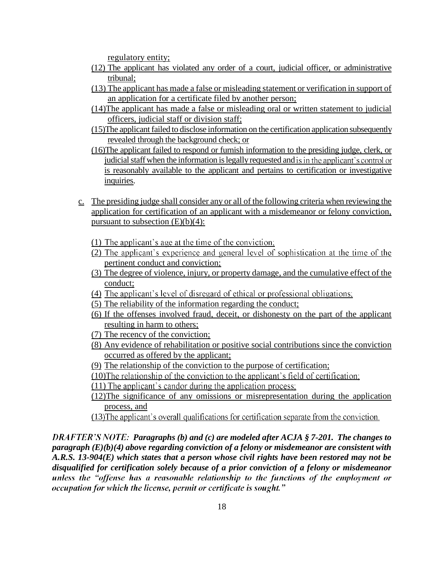regulatory entity;

- (12) The applicant has violated any order of a court, judicial officer, or administrative tribunal;
- (13) The applicant has made a false or misleading statement or verification in support of an application for a certificate filed by another person;
- (14)The applicant has made a false or misleading oral or written statement to judicial officers, judicial staff or division staff;
- (15)The applicant failed to disclose information on the certification application subsequently revealed through the background check; or
- (16)The applicant failed to respond or furnish information to the presiding judge, clerk, or judicial staff when the information is legally requested and is in the applicant's control or is reasonably available to the applicant and pertains to certification or investigative inquiries.
- c. The presiding judge shall consider any or all of the following criteria when reviewing the application for certification of an applicant with a misdemeanor or felony conviction, pursuant to subsection  $(E)(b)(4)$ :
	- (1) The applicant's age at the time of the conviction;
	- (2) The applicant's experience and general level of sophistication at the time of the pertinent conduct and conviction;
	- (3) The degree of violence, injury, or property damage, and the cumulative effect of the conduct;
	- (4) The applicant's level of disregard of ethical or professional obligations;
	- (5) The reliability of the information regarding the conduct;
	- (6) If the offenses involved fraud, deceit, or dishonesty on the part of the applicant resulting in harm to others;
	- (7) The recency of the conviction;
	- (8) Any evidence of rehabilitation or positive social contributions since the conviction occurred as offered by the applicant;
	- (9) The relationship of the conviction to the purpose of certification;
	- (10) The relationship of the conviction to the applicant's field of certification;
	- $(11)$  The applicant's candor during the application process.
	- (12)The significance of any omissions or misrepresentation during the application process, and
	- (13) The applicant's overall qualifications for certification separate from the conviction.

*PRAFTER'S NOTE: Paragraphs (b) and (c) are modeled after ACJA § 7-201. The changes to paragraph (E)(b)(4) above regarding conviction of a felony or misdemeanor are consistent with A.R.S. 13-904(E) which states that a person whose civil rights have been restored may not be disqualified for certification solely because of a prior conviction of a felony or misdemeanor*unless the "offense has a reasonable relationship to the functions of the employment or occupation for which the license, permit or certificate is sought."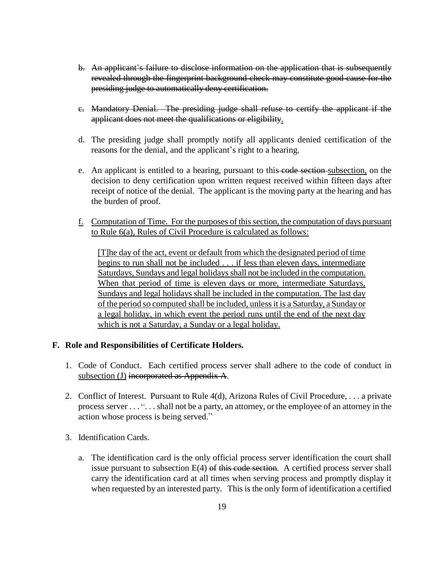- b. An applicant's failure to disclose information on the application that is subsequently revealed through the fingerprint background check may constitute good cause for the presiding judge to automatically deny certification.
- c. Mandatory Denial.The presiding judge shall refuse to certify the applicant if the applicant does not meet the qualifications or eligibility.
- d. The presiding judge shall promptly notify all applicants denied certification of the reasons for the denial, and the applicant's right to a hearing.
- e. An applicant is entitled to a hearing, pursuant to this code section subsection, on the decision to deny certification upon written request received within fifteen days after receipt of notice of the denial. The applicant is the moving party at the hearing and has the burden of proof.
- f. Computation of Time. For the purposes of this section, the computation of days pursuant to Rule 6(a), Rules of Civil Procedure is calculated as follows:

[T]he day of the act, event or default from which the designated period of time begins to run shall not be included . . . if less than eleven days, intermediate Saturdays, Sundays and legal holidays shall not be included in the computation. When that period of time is eleven days or more, intermediate Saturdays, Sundays and legal holidays shall be included in the computation. The last day of the period so computed shall be included, unless it is a Saturday, a Sunday or a legal holiday, in which event the period runs until the end of the next day which is not a Saturday, a Sunday or a legal holiday.

# **F. Role and Responsibilities of Certificate Holders.**

- 1. Code of Conduct. Each certified process server shall adhere to the code of conduct in subsection (J) incorporated as Appendix A.
- 2. Conflict of Interest. Pursuant to Rule 4(d), Arizona Rules of Civil Procedure, . . . a private process server . . . ". . . shall not be a party, an attorney, or the employee of an attorney in the action whose process is being served.
- 3. Identification Cards.
	- a. The identification card is the only official process server identification the court shall issue pursuant to subsection  $E(4)$  of this code section. A certified process server shall carry the identification card at all times when serving process and promptly display it when requested by an interested party. This is the only form of identification a certified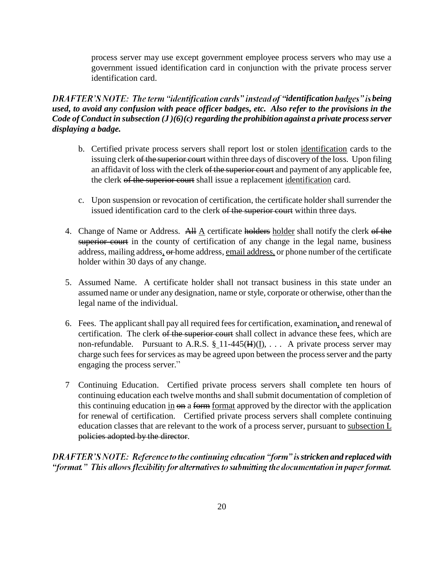process server may use except government employee process servers who may use a government issued identification card in conjunction with the private process server identification card.

# *DRAFTER'S NOTE: The term "identification cards" instead of "identification badges" is being used, to avoid any confusion with peace officer badges, etc. Also refer to the provisions in the Code of Conduct in subsection (J)(6)(c) regarding the prohibition against a private process server displaying a badge.*

- b. Certified private process servers shall report lost or stolen identification cards to the issuing clerk of the superior court within three days of discovery of the loss. Upon filing an affidavit of loss with the clerk of the superior court and payment of any applicable fee, the clerk of the superior court shall issue a replacement identification card.
- c. Upon suspension or revocation of certification, the certificate holder shall surrender the issued identification card to the clerk of the superior court within three days.
- 4. Change of Name or Address. All A certificate holders holder shall notify the clerk of the superior court in the county of certification of any change in the legal name, business address, mailing address, or home address, email address, or phone number of the certificate holder within 30 days of any change.
- 5. Assumed Name.A certificate holder shall not transact business in this state under an assumed name or under any designation, name or style, corporate or otherwise, other than the legal name of the individual.
- 6. Fees.The applicant shall pay all required fees for certification, examination, and renewal of certification. The clerk of the superior court shall collect in advance these fees, which are non-refundable. Pursuant to A.R.S.  $\S$ <sub>11</sub>-445( $H$ )( $I$ ), ... A private process server may charge such fees for services as may be agreed upon between the process server and the party engaging the process server.
- 7 Continuing Education. Certified private process servers shall complete ten hours of continuing education each twelve months and shall submit documentation of completion of this continuing education in  $\Theta$  a form format approved by the director with the application for renewal of certification. Certified private process servers shall complete continuing education classes that are relevant to the work of a process server, pursuant to subsection L policies adopted by the director.

*DRAFTER'S NOTE: Reference to the continuing education "form" is stricken and replaced with* "format." This allows flexibility for alternatives to submitting the documentation in paper format.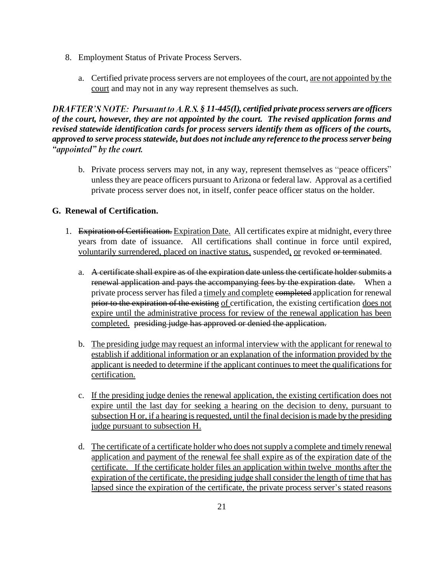- 8. Employment Status of Private Process Servers.
	- a. Certified private process servers are not employees of the court, are not appointed by the court and may not in any way represent themselves as such.

*§ 11-445(I), certified private process servers are officers of the court, however, they are not appointed by the court. The revised application forms and revised statewide identification cards for process servers identify them as officers of the courts, approved to serve process statewide, but does not include any reference to the process server being*  "appointed" by the court.

b. Private process servers may not, in any way, represent themselves as "peace officers" unless they are peace officers pursuant to Arizona or federal law. Approval as a certified private process server does not, in itself, confer peace officer status on the holder.

# **G. Renewal of Certification.**

- 1. Expiration of Certification. Expiration Date. All certificates expire at midnight, every three years from date of issuance. All certifications shall continue in force until expired, voluntarily surrendered, placed on inactive status, suspended, or revoked or terminated.
	- a. A certificate shall expire as of the expiration date unless the certificate holder submits a renewal application and pays the accompanying fees by the expiration date. When a private process server has filed a timely and complete completed application for renewal prior to the expiration of the existing of certification, the existing certification does not expire until the administrative process for review of the renewal application has been completed. presiding judge has approved or denied the application.
	- b. The presiding judge may request an informal interview with the applicant for renewal to establish if additional information or an explanation of the information provided by the applicant is needed to determine if the applicant continues to meet the qualifications for certification.
	- c. If the presiding judge denies the renewal application, the existing certification does not expire until the last day for seeking a hearing on the decision to deny, pursuant to subsection H or, if a hearing is requested, until the final decision is made by the presiding judge pursuant to subsection H.
	- d. The certificate of a certificate holder who does not supply a complete and timely renewal application and payment of the renewal fee shall expire as of the expiration date of the certificate. If the certificate holder files an application within twelve months after the expiration of the certificate, the presiding judge shall consider the length of time that has lapsed since the expiration of the certificate, the private process server's stated reasons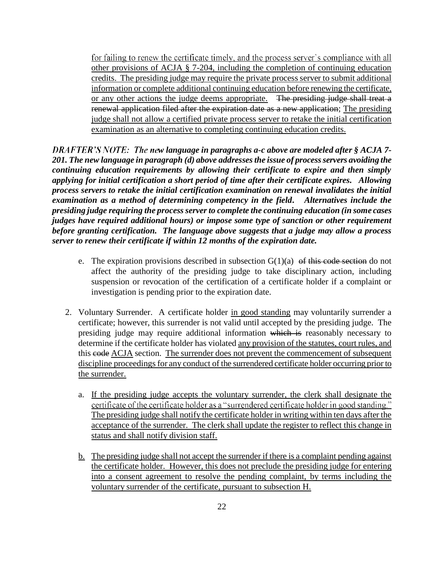for failing to renew the certificate timely, and the process server's compliance with all other provisions of ACJA § 7-204, including the completion of continuing education credits. The presiding judge may require the private process server to submit additional information or complete additional continuing education before renewing the certificate, or any other actions the judge deems appropriate. The presiding judge shall treat a renewal application filed after the expiration date as a new application; The presiding judge shall not allow a certified private process server to retake the initial certification examination as an alternative to completing continuing education credits.

*DRAFTER'S NOTE: The new language in paragraphs a-c above are modeled after § ACJA 7-201. The new language in paragraph (d) above addressesthe issue of process servers avoiding the continuing education requirements by allowing their certificate to expire and then simply applying for initial certification a short period of time after their certificate expires. Allowing process servers to retake the initial certification examination on renewal invalidates the initial examination as a method of determining competency in the field. Alternatives include the presiding judge requiring the process server to complete the continuing education (in some cases judges have required additional hours) or impose some type of sanction or other requirement before granting certification. The language above suggests that a judge may allow a process server to renew their certificate if within 12 months of the expiration date.* 

- e. The expiration provisions described in subsection  $G(1)(a)$  of this code section do not affect the authority of the presiding judge to take disciplinary action, including suspension or revocation of the certification of a certificate holder if a complaint or investigation is pending prior to the expiration date.
- 2. Voluntary Surrender. A certificate holder in good standing may voluntarily surrender a certificate; however, this surrender is not valid until accepted by the presiding judge. The presiding judge may require additional information which is reasonably necessary to determine if the certificate holder has violated any provision of the statutes, court rules, and this eode ACJA section. The surrender does not prevent the commencement of subsequent discipline proceedings for any conduct of the surrendered certificate holder occurring prior to the surrender.
	- a. If the presiding judge accepts the voluntary surrender, the clerk shall designate the certificate of the certificate holder as a "surrendered certificate holder in good standing." The presiding judge shall notify the certificate holder in writing within ten days after the acceptance of the surrender. The clerk shall update the register to reflect this change in status and shall notify division staff.
	- b. The presiding judge shall not accept the surrender if there is a complaint pending against the certificate holder. However, this does not preclude the presiding judge for entering into a consent agreement to resolve the pending complaint, by terms including the voluntary surrender of the certificate, pursuant to subsection H.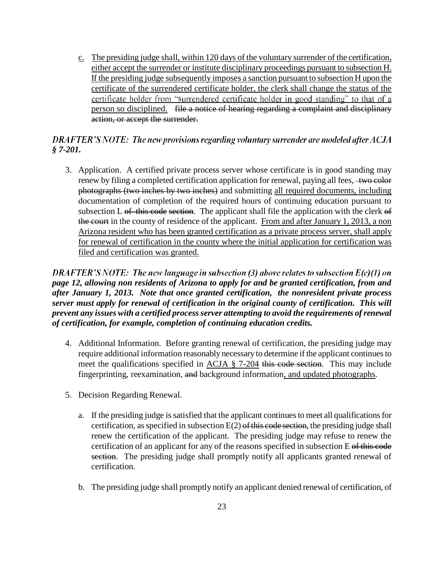c. The presiding judge shall, within 120 days of the voluntary surrender of the certification, either accept the surrender or institute disciplinary proceedings pursuant to subsection H. If the presiding judge subsequently imposes a sanction pursuant to subsection H upon the certificate of the surrendered certificate holder, the clerk shall change the status of the certificate holder from "surrendered certificate holder in good standing" to that of a person so disciplined. file a notice of hearing regarding a complaint and disciplinary action, or accept the surrender.

# DRAFTER'S NOTE: The new provisions regarding voluntary surrender are modeled after ACJA *§ 7-201.*

3. Application. A certified private process server whose certificate is in good standing may renew by filing a completed certification application for renewal, paying all fees, two color photographs (two inches by two inches) and submitting all required documents, including documentation of completion of the required hours of continuing education pursuant to subsection L  $\sigma f$  this code section. The applicant shall file the application with the clerk  $\sigma f$ the court in the county of residence of the applicant. From and after January 1, 2013, a non Arizona resident who has been granted certification as a private process server, shall apply for renewal of certification in the county where the initial application for certification was filed and certification was granted.

DRAFTER'S NOTE: The new language in subsection (3) above relates to subsection  $E(c)(1)$  on *page 12, allowing non residents of Arizona to apply for and be granted certification, from and after January 1, 2013. Note that once granted certification, the nonresident private process server must apply for renewal of certification in the original county of certification. This will prevent any issues with a certified process server attempting to avoid the requirements of renewal of certification, for example, completion of continuing education credits.*

- 4. Additional Information. Before granting renewal of certification, the presiding judge may require additional information reasonably necessary to determine if the applicant continues to meet the qualifications specified in ACJA § 7-204 this code section. This may include fingerprinting, reexamination, and background information, and updated photographs.
- 5. Decision Regarding Renewal.
	- a. If the presiding judge is satisfied that the applicant continues to meet all qualifications for certification, as specified in subsection  $E(2)$  of this code section, the presiding judge shall renew the certification of the applicant. The presiding judge may refuse to renew the certification of an applicant for any of the reasons specified in subsection E of this code section. The presiding judge shall promptly notify all applicants granted renewal of certification.
	- b. The presiding judge shall promptly notify an applicant denied renewal of certification, of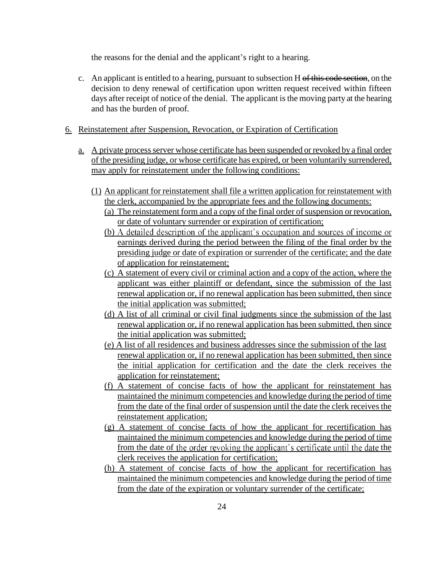the reasons for the denial and the applicant's right to a hearing.

- c. An applicant is entitled to a hearing, pursuant to subsection H of this code section, on the decision to deny renewal of certification upon written request received within fifteen days after receipt of notice of the denial. The applicant is the moving party at the hearing and has the burden of proof.
- 6. Reinstatement after Suspension, Revocation, or Expiration of Certification
	- a. A private process server whose certificate has been suspended or revoked by a final order of the presiding judge, or whose certificate has expired, or been voluntarily surrendered, may apply for reinstatement under the following conditions:
		- (1) An applicant for reinstatement shall file a written application for reinstatement with the clerk, accompanied by the appropriate fees and the following documents: (a) The reinstatement form and a copy of the final order of suspension or revocation,

or date of voluntary surrender or expiration of certification;

- (b) A detailed description of the applicant's occupation and sources of income or earnings derived during the period between the filing of the final order by the presiding judge or date of expiration or surrender of the certificate; and the date of application for reinstatement;
- (c) A statement of every civil or criminal action and a copy of the action, where the applicant was either plaintiff or defendant, since the submission of the last renewal application or, if no renewal application has been submitted, then since the initial application was submitted;
- (d) A list of all criminal or civil final judgments since the submission of the last renewal application or, if no renewal application has been submitted, then since the initial application was submitted;
- (e) A list of all residences and business addresses since the submission of the last renewal application or, if no renewal application has been submitted, then since the initial application for certification and the date the clerk receives the application for reinstatement;
- (f) A statement of concise facts of how the applicant for reinstatement has maintained the minimum competencies and knowledge during the period of time from the date of the final order of suspension until the date the clerk receives the reinstatement application;
- (g) A statement of concise facts of how the applicant for recertification has maintained the minimum competencies and knowledge during the period of time from the date of the order revoking the applicant's certificate until the date the clerk receives the application for certification;
- (h) A statement of concise facts of how the applicant for recertification has maintained the minimum competencies and knowledge during the period of time from the date of the expiration or voluntary surrender of the certificate;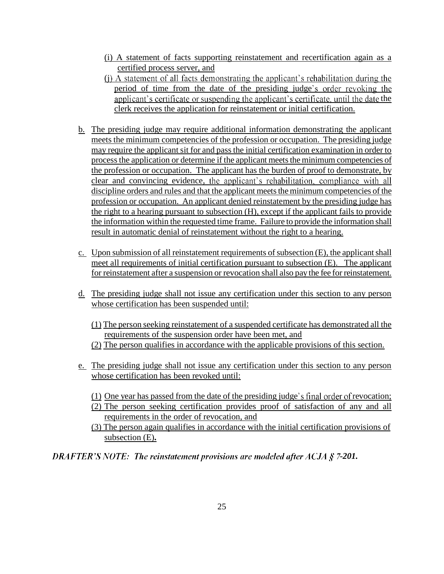- (i) A statement of facts supporting reinstatement and recertification again as a certified process server, and
- (i) A statement of all facts demonstrating the applicant's rehabilitation during the period of time from the date of the presiding judge's order revoking the applicant's certificate or suspending the applicant's certificate, until the date the clerk receives the application for reinstatement or initial certification.
- b. The presiding judge may require additional information demonstrating the applicant meets the minimum competencies of the profession or occupation. The presiding judge may require the applicant sit for and pass the initial certification examination in order to processthe application or determine if the applicant meets the minimum competencies of the profession or occupation. The applicant has the burden of proof to demonstrate, by clear and convincing evidence, the applicant's rehabilitation, compliance with all discipline orders and rules and that the applicant meets the minimum competencies of the profession or occupation. An applicant denied reinstatement by the presiding judge has the right to a hearing pursuant to subsection (H), except if the applicant fails to provide the information within the requested time frame. Failure to provide the information shall result in automatic denial of reinstatement without the right to a hearing.
- c. Upon submission of all reinstatement requirements of subsection (E), the applicant shall meet all requirements of initial certification pursuant to subsection (E). The applicant for reinstatement after a suspension or revocation shall also pay the fee for reinstatement.
- d. The presiding judge shall not issue any certification under this section to any person whose certification has been suspended until:
	- (1) The person seeking reinstatement of a suspended certificate has demonstrated all the requirements of the suspension order have been met, and
	- (2) The person qualifies in accordance with the applicable provisions of this section.
- e. The presiding judge shall not issue any certification under this section to any person whose certification has been revoked until:
	- $(1)$  One year has passed from the date of the presiding judge's final order of revocation;
	- (2) The person seeking certification provides proof of satisfaction of any and all requirements in the order of revocation, and
	- (3) The person again qualifies in accordance with the initial certification provisions of subsection (E)**.**

*DRAFTER'S NOTE: The reinstatement provisions are modeled after ACJA § 7-201.*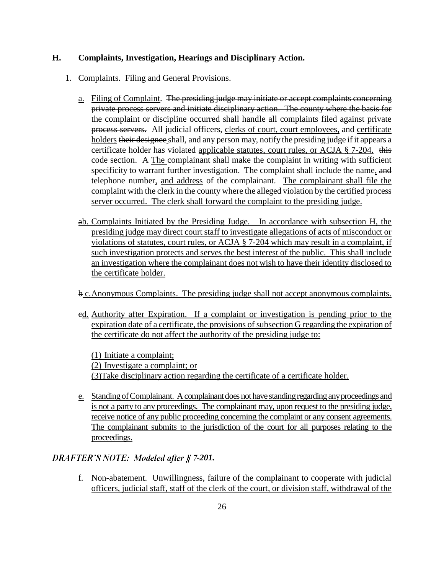### **H. Complaints, Investigation, Hearings and Disciplinary Action.**

- 1. Complaints. Filing and General Provisions.
	- a. Filing of Complaint. The presiding judge may initiate or accept complaints concerning private process servers and initiate disciplinary action. The county where the basis for the complaint or discipline occurred shall handle all complaints filed against private process servers. All judicial officers, clerks of court, court employees, and certificate holders their designee shall, and any person may, notify the presiding judge if it appears a certificate holder has violated applicable statutes, court rules, or ACJA  $\S$  7-204. this code section. A The complainant shall make the complaint in writing with sufficient specificity to warrant further investigation. The complaint shall include the name, and telephone number, and address of the complainant. The complainant shall file the complaint with the clerk in the county where the alleged violation by the certified process server occurred. The clerk shall forward the complaint to the presiding judge.
	- ab. Complaints Initiated by the Presiding Judge. In accordance with subsection H, the presiding judge may direct court staff to investigate allegations of acts of misconduct or violations of statutes, court rules, or ACJA § 7-204 which may result in a complaint, if such investigation protects and serves the best interest of the public. This shall include an investigation where the complainant does not wish to have their identity disclosed to the certificate holder.
	- b c.Anonymous Complaints. The presiding judge shall not accept anonymous complaints.
	- ed. Authority after Expiration. If a complaint or investigation is pending prior to the expiration date of a certificate, the provisions of subsection G regarding the expiration of the certificate do not affect the authority of the presiding judge to:

(1) Initiate a complaint; (2) Investigate a complaint; or (3)Take disciplinary action regarding the certificate of a certificate holder.

e. Standing of Complainant. A complainant does not have standing regarding any proceedings and is not a party to any proceedings. The complainant may, upon request to the presiding judge, receive notice of any public proceeding concerning the complaint or any consent agreements. The complainant submits to the jurisdiction of the court for all purposes relating to the proceedings.

# *DRAFTER'S NOTE: Modeled after § 7-201.*

f. Non-abatement. Unwillingness, failure of the complainant to cooperate with judicial officers, judicial staff, staff of the clerk of the court, or division staff, withdrawal of the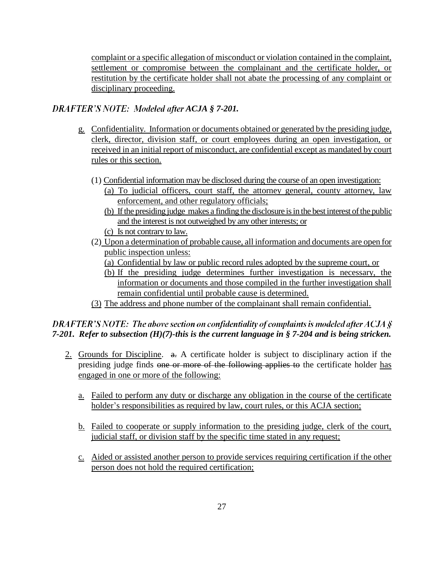complaint or a specific allegation of misconduct or violation contained in the complaint, settlement or compromise between the complainant and the certificate holder, or restitution by the certificate holder shall not abate the processing of any complaint or disciplinary proceeding.

# **DRAFTER'S NOTE: Modeled after ACJA § 7-201.**

- g. Confidentiality. Information or documents obtained or generated by the presiding judge, clerk, director, division staff, or court employees during an open investigation, or received in an initial report of misconduct, are confidential except as mandated by court rules or this section.
	- (1) Confidential information may be disclosed during the course of an open investigation:
		- (a) To judicial officers, court staff, the attorney general, county attorney, law enforcement, and other regulatory officials;
		- (b) If the presiding judge makes a finding the disclosure is in the best interest of the public and the interest is not outweighed by any other interests; or
		- (c) Is not contrary to law.
	- (2) Upon a determination of probable cause, all information and documents are open for public inspection unless:
		- (a) Confidential by law or public record rules adopted by the supreme court, or
		- (b) If the presiding judge determines further investigation is necessary, the information or documents and those compiled in the further investigation shall remain confidential until probable cause is determined.
	- (3) The address and phone number of the complainant shall remain confidential.

# DRAFTER'S NOTE: The above section on confidentiality of complaints is modeled after ACJA  $\hat{S}$ *7-201. Refer to subsection (H)(7)-this is the current language in § 7-204 and is being stricken.*

- 2. Grounds for Discipline.  $\theta$ . A certificate holder is subject to disciplinary action if the presiding judge finds one or more of the following applies to the certificate holder has engaged in one or more of the following:
	- a. Failed to perform any duty or discharge any obligation in the course of the certificate holder's responsibilities as required by law, court rules, or this ACJA section;
	- b. Failed to cooperate or supply information to the presiding judge, clerk of the court, judicial staff, or division staff by the specific time stated in any request;
	- c. Aided or assisted another person to provide services requiring certification if the other person does not hold the required certification;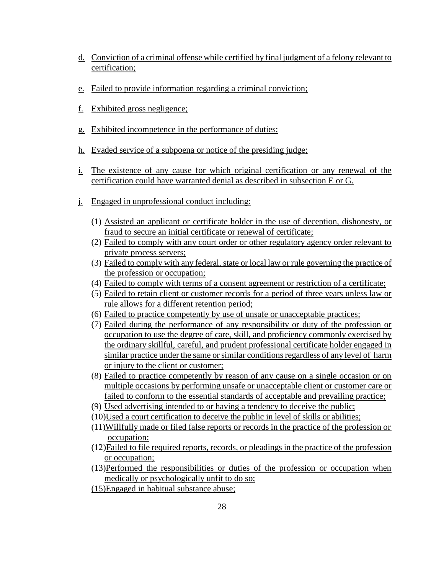- d. Conviction of a criminal offense while certified by final judgment of a felony relevant to certification;
- e. Failed to provide information regarding a criminal conviction;
- f. Exhibited gross negligence;
- g. Exhibited incompetence in the performance of duties;
- h. Evaded service of a subpoena or notice of the presiding judge;
- i. The existence of any cause for which original certification or any renewal of the certification could have warranted denial as described in subsection E or G.
- j. Engaged in unprofessional conduct including:
	- (1) Assisted an applicant or certificate holder in the use of deception, dishonesty, or fraud to secure an initial certificate or renewal of certificate;
	- (2) Failed to comply with any court order or other regulatory agency order relevant to private process servers;
	- (3) Failed to comply with any federal, state or local law or rule governing the practice of the profession or occupation;
	- (4) Failed to comply with terms of a consent agreement or restriction of a certificate;
	- (5) Failed to retain client or customer records for a period of three years unless law or rule allows for a different retention period;
	- (6) Failed to practice competently by use of unsafe or unacceptable practices;
	- (7) Failed during the performance of any responsibility or duty of the profession or occupation to use the degree of care, skill, and proficiency commonly exercised by the ordinary skillful, careful, and prudent professional certificate holder engaged in similar practice under the same or similar conditions regardless of any level of harm or injury to the client or customer;
	- (8) Failed to practice competently by reason of any cause on a single occasion or on multiple occasions by performing unsafe or unacceptable client or customer care or failed to conform to the essential standards of acceptable and prevailing practice;
	- (9) Used advertising intended to or having a tendency to deceive the public;
	- (10)Used a court certification to deceive the public in level of skills or abilities;
	- (11)Willfully made or filed false reports or records in the practice of the profession or occupation;
	- (12)Failed to file required reports, records, or pleadings in the practice of the profession or occupation;
	- (13)Performed the responsibilities or duties of the profession or occupation when medically or psychologically unfit to do so;
	- (15)Engaged in habitual substance abuse;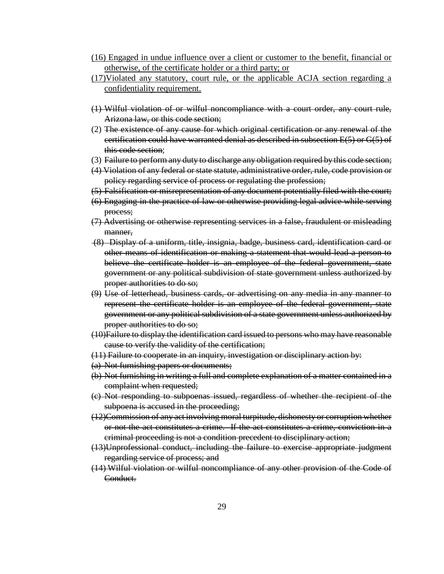- (16) Engaged in undue influence over a client or customer to the benefit, financial or otherwise, of the certificate holder or a third party; or
- (17)Violated any statutory, court rule, or the applicable ACJA section regarding a confidentiality requirement.
- (1) Wilful violation of or wilful noncompliance with a court order, any court rule, Arizona law, or this code section;
- (2) The existence of any cause for which original certification or any renewal of the certification could have warranted denial as described in subsection E(5) or G(5) of this code section;
- (3) Failure to perform any duty to discharge any obligation required by this code section;
- (4) Violation of any federal or state statute, administrative order, rule, code provision or policy regarding service of process or regulating the profession;
- (5) Falsification or misrepresentation of any document potentially filed with the court;
- (6) Engaging in the practice of law or otherwise providing legal advice while serving process;
- (7) Advertising or otherwise representing services in a false, fraudulent or misleading manner.
- (8) Display of a uniform, title, insignia, badge, business card, identification card or other means of identification or making a statement that would lead a person to believe the certificate holder is an employee of the federal government, state government or any political subdivision of state government unless authorized by proper authorities to do so;
- (9) Use of letterhead, business cards, or advertising on any media in any manner to represent the certificate holder is an employee of the federal government, state government or any political subdivision of a state government unless authorized by proper authorities to do so;
- (10)Failure to display the identification card issued to persons who may have reasonable cause to verify the validity of the certification;
- (11) Failure to cooperate in an inquiry, investigation or disciplinary action by:
- (a) Not furnishing papers or documents;
- (b) Not furnishing in writing a full and complete explanation of a matter contained in a complaint when requested;
- (c) Not responding to subpoenas issued, regardless of whether the recipient of the subpoena is accused in the proceeding;
- (12)Commission of any act involving moral turpitude, dishonesty or corruption whether or not the act constitutes a crime. If the act constitutes a crime, conviction in a criminal proceeding is not a condition precedent to disciplinary action;
- (13)Unprofessional conduct, including the failure to exercise appropriate judgment regarding service of process; and
- (14) Wilful violation or wilful noncompliance of any other provision of the Code of Conduct.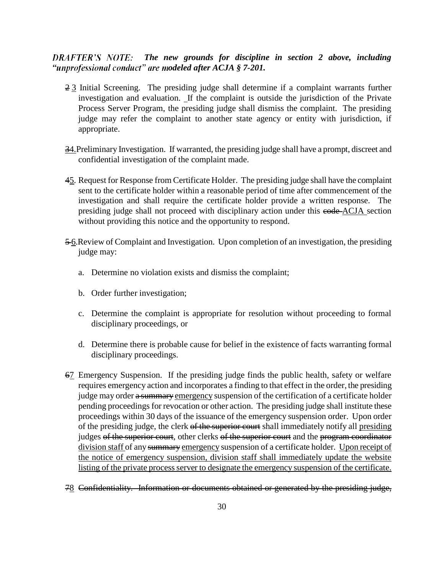### *DRAFTER'S NOTE:* The new grounds for discipline in section 2 above, including *"unprofessional conduct" are modeled after ACJA § 7-201.*

- 2 3 Initial Screening. The presiding judge shall determine if a complaint warrants further investigation and evaluation. If the complaint is outside the jurisdiction of the Private Process Server Program, the presiding judge shall dismiss the complaint. The presiding judge may refer the complaint to another state agency or entity with jurisdiction, if appropriate.
- 34. Preliminary Investigation. If warranted, the presiding judge shall have a prompt, discreet and confidential investigation of the complaint made.
- 45. Request for Response from Certificate Holder. The presiding judge shall have the complaint sent to the certificate holder within a reasonable period of time after commencement of the investigation and shall require the certificate holder provide a written response. The presiding judge shall not proceed with disciplinary action under this eode-ACJA section without providing this notice and the opportunity to respond.
- 5-6. Review of Complaint and Investigation. Upon completion of an investigation, the presiding judge may:
	- a. Determine no violation exists and dismiss the complaint;
	- b. Order further investigation;
	- c. Determine the complaint is appropriate for resolution without proceeding to formal disciplinary proceedings, or
	- d. Determine there is probable cause for belief in the existence of facts warranting formal disciplinary proceedings.
- 67 Emergency Suspension. If the presiding judge finds the public health, safety or welfare requires emergency action and incorporates a finding to that effect in the order, the presiding judge may order a summary emergency suspension of the certification of a certificate holder pending proceedings for revocation or other action. The presiding judge shall institute these proceedings within 30 days of the issuance of the emergency suspension order. Upon order of the presiding judge, the clerk of the superior court shall immediately notify all presiding judges of the superior court, other clerks of the superior court and the program coordinator division staff of any summary emergency suspension of a certificate holder. Upon receipt of the notice of emergency suspension, division staff shall immediately update the website listing of the private process server to designate the emergency suspension of the certificate.

#### 78 Confidentiality. Information or documents obtained or generated by the presiding judge,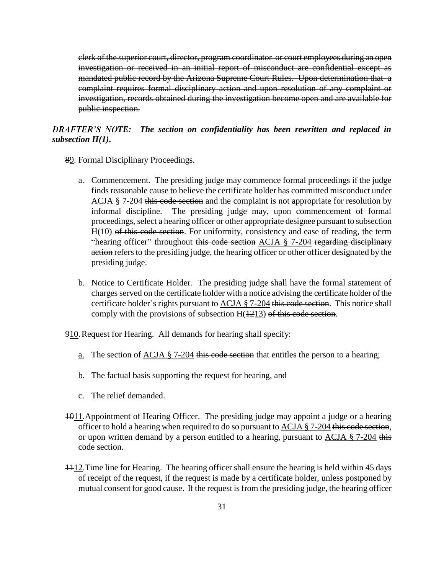clerk of the superior court, director, program coordinator or court employees during an open investigation or received in an initial report of misconduct are confidential except as mandated public record by the Arizona Supreme Court Rules. Upon determination that a complaint requires formal disciplinary action and upon resolution of any complaint or investigation, records obtained during the investigation become open and are available for public inspection.

*TER'S NOTE:* The section on confidentiality has been rewritten and replaced in *subsection H(1).*

- 89. Formal Disciplinary Proceedings.
	- a. Commencement. The presiding judge may commence formal proceedings if the judge finds reasonable cause to believe the certificate holder has committed misconduct under ACJA § 7-204 this code section and the complaint is not appropriate for resolution by informal discipline. The presiding judge may, upon commencement of formal proceedings, select a hearing officer or other appropriate designee pursuant to subsection H(10) of this code section. For uniformity, consistency and ease of reading, the term "hearing officer" throughout this code section  $ACJA \S 7-204$  regarding disciplinary action refers to the presiding judge, the hearing officer or other officer designated by the presiding judge.
	- b. Notice to Certificate Holder. The presiding judge shall have the formal statement of charges served on the certificate holder with a notice advising the certificate holder of the certificate holder's rights pursuant to ACJA  $\S$  7-204 this code section. This notice shall comply with the provisions of subsection  $H(1213)$  of this code section.

910. Request for Hearing. All demands for hearing shall specify:

- <u>a.</u> The section of  $ACJA \tS$  7-204 this code section that entitles the person to a hearing;
- b. The factual basis supporting the request for hearing, and
- c. The relief demanded.
- 1011.Appointment of Hearing Officer. The presiding judge may appoint a judge or a hearing officer to hold a hearing when required to do so pursuant to  $ACJA \$  7-204 this code section, or upon written demand by a person entitled to a hearing, pursuant to  $ACJA \$   $7-204$  this code section.
- 1112.Time line for Hearing. The hearing officer shall ensure the hearing is held within 45 days of receipt of the request, if the request is made by a certificate holder, unless postponed by mutual consent for good cause. If the request is from the presiding judge, the hearing officer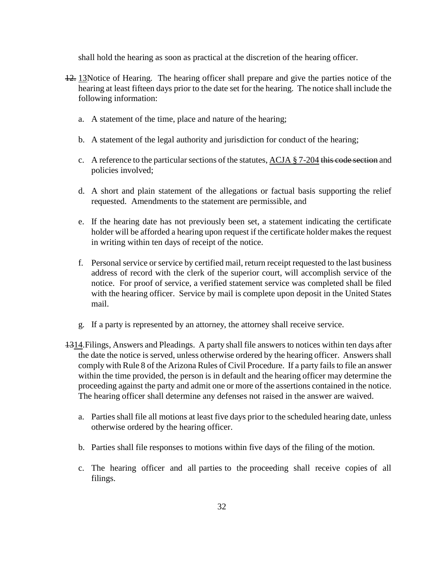shall hold the hearing as soon as practical at the discretion of the hearing officer.

- 12. 13Notice of Hearing. The hearing officer shall prepare and give the parties notice of the hearing at least fifteen days prior to the date set for the hearing. The notice shall include the following information:
	- a. A statement of the time, place and nature of the hearing;
	- b. A statement of the legal authority and jurisdiction for conduct of the hearing;
	- c. A reference to the particular sections of the statutes, ACJA § 7-204 this code section and policies involved;
	- d. A short and plain statement of the allegations or factual basis supporting the relief requested. Amendments to the statement are permissible, and
	- e. If the hearing date has not previously been set, a statement indicating the certificate holder will be afforded a hearing upon request if the certificate holder makes the request in writing within ten days of receipt of the notice.
	- f. Personal service or service by certified mail, return receipt requested to the last business address of record with the clerk of the superior court, will accomplish service of the notice. For proof of service, a verified statement service was completed shall be filed with the hearing officer. Service by mail is complete upon deposit in the United States mail.
	- g. If a party is represented by an attorney, the attorney shall receive service.
- 1314. Filings, Answers and Pleadings. A party shall file answers to notices within ten days after the date the notice is served, unless otherwise ordered by the hearing officer. Answers shall comply with Rule 8 of the Arizona Rules of Civil Procedure. If a party fails to file an answer within the time provided, the person is in default and the hearing officer may determine the proceeding against the party and admit one or more of the assertions contained in the notice. The hearing officer shall determine any defenses not raised in the answer are waived.
	- a. Parties shall file all motions at least five days prior to the scheduled hearing date, unless otherwise ordered by the hearing officer.
	- b. Parties shall file responses to motions within five days of the filing of the motion.
	- c. The hearing officer and all parties to the proceeding shall receive copies of all filings.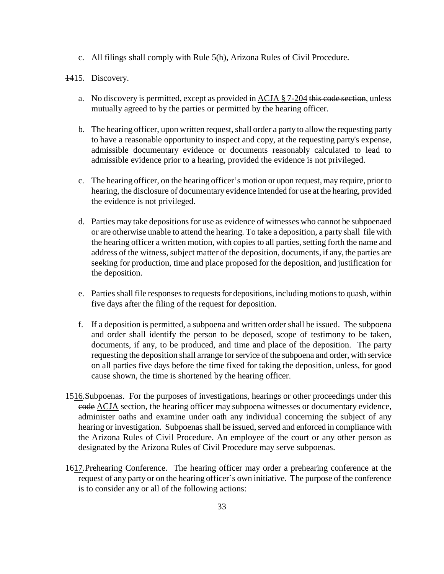c. All filings shall comply with Rule 5(h), Arizona Rules of Civil Procedure.

#### 1415. Discovery.

- a. No discovery is permitted, except as provided in ACJA § 7-204 this code section, unless mutually agreed to by the parties or permitted by the hearing officer.
- b. The hearing officer, upon written request, shall order a party to allow the requesting party to have a reasonable opportunity to inspect and copy, at the requesting party's expense, admissible documentary evidence or documents reasonably calculated to lead to admissible evidence prior to a hearing, provided the evidence is not privileged.
- c. The hearing officer, on the hearing officer's motion or upon request, may require, prior to hearing, the disclosure of documentary evidence intended for use at the hearing, provided the evidence is not privileged.
- d. Parties may take depositions for use as evidence of witnesses who cannot be subpoenaed or are otherwise unable to attend the hearing. To take a deposition, a party shall file with the hearing officer a written motion, with copies to all parties, setting forth the name and address of the witness, subject matter of the deposition, documents, if any, the parties are seeking for production, time and place proposed for the deposition, and justification for the deposition.
- e. Parties shall file responses to requests for depositions, including motions to quash, within five days after the filing of the request for deposition.
- f. If a deposition is permitted, a subpoena and written order shall be issued. The subpoena and order shall identify the person to be deposed, scope of testimony to be taken, documents, if any, to be produced, and time and place of the deposition. The party requesting the deposition shall arrange for service of the subpoena and order, with service on all parties five days before the time fixed for taking the deposition, unless, for good cause shown, the time is shortened by the hearing officer.
- 1516.Subpoenas.For the purposes of investigations, hearings or other proceedings under this eode ACJA section, the hearing officer may subpoena witnesses or documentary evidence, administer oaths and examine under oath any individual concerning the subject of any hearing or investigation. Subpoenas shall be issued, served and enforced in compliance with the Arizona Rules of Civil Procedure. An employee of the court or any other person as designated by the Arizona Rules of Civil Procedure may serve subpoenas.
- 1617.Prehearing Conference. The hearing officer may order a prehearing conference at the request of any party or on the hearing officer's own initiative. The purpose of the conference is to consider any or all of the following actions: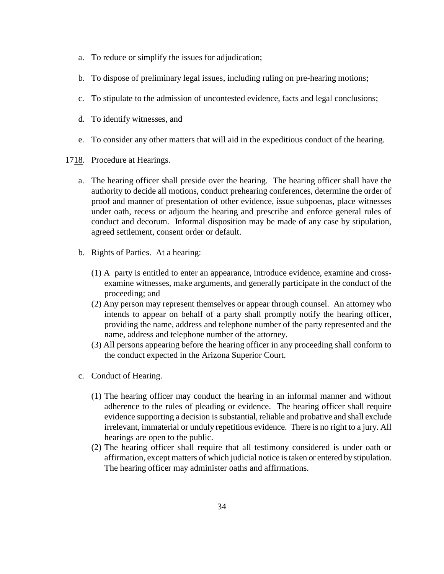- a. To reduce or simplify the issues for adjudication;
- b. To dispose of preliminary legal issues, including ruling on pre-hearing motions;
- c. To stipulate to the admission of uncontested evidence, facts and legal conclusions;
- d. To identify witnesses, and
- e. To consider any other matters that will aid in the expeditious conduct of the hearing.
- 1718. Procedure at Hearings.
	- a. The hearing officer shall preside over the hearing. The hearing officer shall have the authority to decide all motions, conduct prehearing conferences, determine the order of proof and manner of presentation of other evidence, issue subpoenas, place witnesses under oath, recess or adjourn the hearing and prescribe and enforce general rules of conduct and decorum. Informal disposition may be made of any case by stipulation, agreed settlement, consent order or default.
	- b. Rights of Parties.At a hearing:
		- (1) A party is entitled to enter an appearance, introduce evidence, examine and crossexamine witnesses, make arguments, and generally participate in the conduct of the proceeding; and
		- (2) Any person may represent themselves or appear through counsel. An attorney who intends to appear on behalf of a party shall promptly notify the hearing officer, providing the name, address and telephone number of the party represented and the name, address and telephone number of the attorney.
		- (3) All persons appearing before the hearing officer in any proceeding shall conform to the conduct expected in the Arizona Superior Court.
	- c. Conduct of Hearing.
		- (1) The hearing officer may conduct the hearing in an informal manner and without adherence to the rules of pleading or evidence. The hearing officer shall require evidence supporting a decision is substantial, reliable and probative and shall exclude irrelevant, immaterial or unduly repetitious evidence. There is no right to a jury. All hearings are open to the public.
		- (2) The hearing officer shall require that all testimony considered is under oath or affirmation, except matters of which judicial notice is taken or entered by stipulation. The hearing officer may administer oaths and affirmations.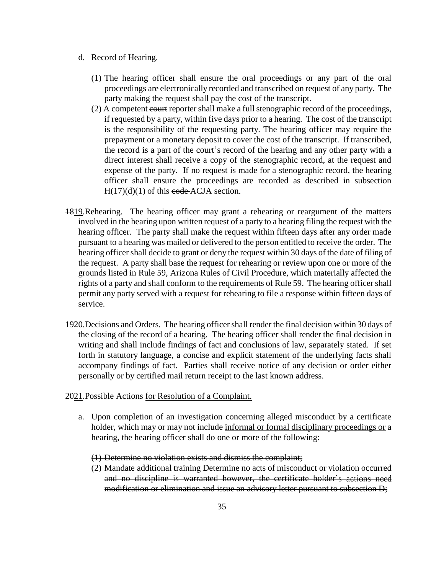- d. Record of Hearing.
	- (1) The hearing officer shall ensure the oral proceedings or any part of the oral proceedings are electronically recorded and transcribed on request of any party. The party making the request shall pay the cost of the transcript.
	- (2) A competent court reporter shall make a full stenographic record of the proceedings, if requested by a party, within five days prior to a hearing. The cost of the transcript is the responsibility of the requesting party. The hearing officer may require the prepayment or a monetary deposit to cover the cost of the transcript. If transcribed, the record is a part of the court's record of the hearing and any other party with a direct interest shall receive a copy of the stenographic record, at the request and expense of the party. If no request is made for a stenographic record, the hearing officer shall ensure the proceedings are recorded as described in subsection  $H(17)(d)(1)$  of this code ACJA section.
- 1819.Rehearing.The hearing officer may grant a rehearing or reargument of the matters involved in the hearing upon written request of a party to a hearing filing the request with the hearing officer. The party shall make the request within fifteen days after any order made pursuant to a hearing was mailed or delivered to the person entitled to receive the order. The hearing officer shall decide to grant or deny the request within 30 days of the date of filing of the request. A party shall base the request for rehearing or review upon one or more of the grounds listed in Rule 59, Arizona Rules of Civil Procedure, which materially affected the rights of a party and shall conform to the requirements of Rule 59. The hearing officer shall permit any party served with a request for rehearing to file a response within fifteen days of service.
- 1920.Decisions and Orders. The hearing officer shall render the final decision within 30 days of the closing of the record of a hearing. The hearing officer shall render the final decision in writing and shall include findings of fact and conclusions of law, separately stated. If set forth in statutory language, a concise and explicit statement of the underlying facts shall accompany findings of fact. Parties shall receive notice of any decision or order either personally or by certified mail return receipt to the last known address.

2021.Possible Actions for Resolution of a Complaint.

a. Upon completion of an investigation concerning alleged misconduct by a certificate holder, which may or may not include informal or formal disciplinary proceedings or a hearing, the hearing officer shall do one or more of the following:

(1) Determine no violation exists and dismiss the complaint;

(2) Mandate additional training Determine no acts of misconduct or violation occurred and no discipline is warranted however, the certificate holder's actions need modification or elimination and issue an advisory letter pursuant to subsection D;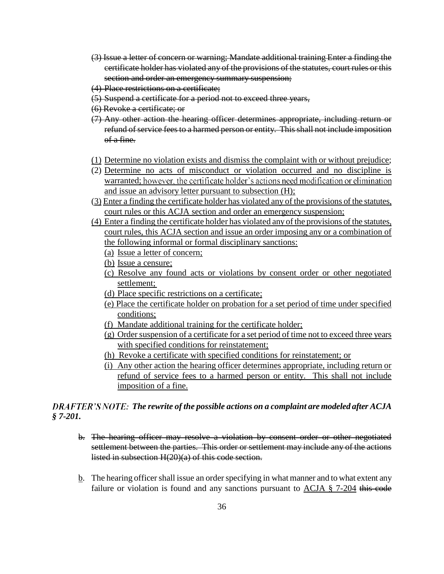- (3) Issue a letter of concern or warning; Mandate additional training Enter a finding the certificate holder has violated any of the provisions of the statutes, court rules or this section and order an emergency summary suspension;
- (4) Place restrictions on a certificate;
- (5) Suspend a certificate for a period not to exceed three years,
- (6) Revoke a certificate; or
- (7) Any other action the hearing officer determines appropriate, including return or refund of service fees to a harmed person or entity. This shall not include imposition of a fine.
- (1) Determine no violation exists and dismiss the complaint with or without prejudice;
- (2) Determine no acts of misconduct or violation occurred and no discipline is warranted; however, the certificate holder's actions need modification or elimination and issue an advisory letter pursuant to subsection (H);
- (3) Enter a finding the certificate holder has violated any of the provisions of the statutes, court rules or this ACJA section and order an emergency suspension;
- (4) Enter a finding the certificate holder has violated any of the provisions of the statutes, court rules, this ACJA section and issue an order imposing any or a combination of the following informal or formal disciplinary sanctions:
	- (a) Issue a letter of concern;
	- (b) Issue a censure;
	- (c) Resolve any found acts or violations by consent order or other negotiated settlement;
	- (d) Place specific restrictions on a certificate;
	- (e) Place the certificate holder on probation for a set period of time under specified conditions;
	- (f) Mandate additional training for the certificate holder;
	- (g) Order suspension of a certificate for a set period of time not to exceed three years with specified conditions for reinstatement;
	- (h) Revoke a certificate with specified conditions for reinstatement; or
	- (i) Any other action the hearing officer determines appropriate, including return or refund of service fees to a harmed person or entity. This shall not include imposition of a fine.

# *DRAFTER'S NOTE: The rewrite of the possible actions on a complaint are modeled after ACJA § 7-201.*

- b. The hearing officer may resolve a violation by consent order or other negotiated settlement between the parties. This order or settlement may include any of the actions listed in subsection H(20)(a) of this code section.
- b. The hearing officer shall issue an order specifying in what manner and to what extent any failure or violation is found and any sanctions pursuant to ACJA § 7-204 this code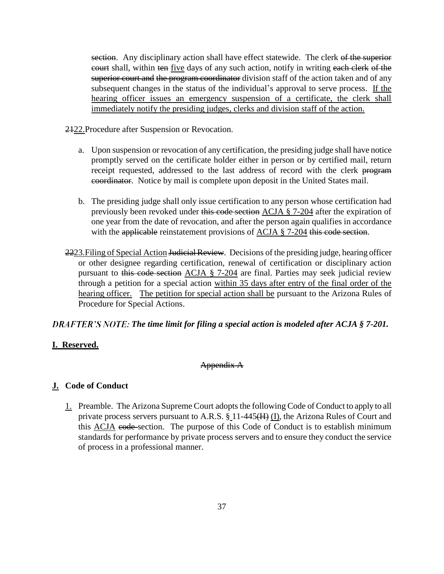section. Any disciplinary action shall have effect statewide. The clerk of the superior eourt shall, within ten five days of any such action, notify in writing each clerk of the superior court and the program coordinator division staff of the action taken and of any subsequent changes in the status of the individual's approval to serve process. If the hearing officer issues an emergency suspension of a certificate, the clerk shall immediately notify the presiding judges, clerks and division staff of the action.

2122.Procedure after Suspension or Revocation.

- a. Upon suspension or revocation of any certification, the presiding judge shall have notice promptly served on the certificate holder either in person or by certified mail, return receipt requested, addressed to the last address of record with the clerk program coordinator. Notice by mail is complete upon deposit in the United States mail.
- b. The presiding judge shall only issue certification to any person whose certification had previously been revoked under this code section ACJA § 7-204 after the expiration of one year from the date of revocation, and after the person again qualifies in accordance with the applicable reinstatement provisions of ACJA § 7-204 this code section.
- 2223. Filing of Special Action <del>Judicial Review</del>. Decisions of the presiding judge, hearing officer or other designee regarding certification, renewal of certification or disciplinary action pursuant to this code section ACJA § 7-204 are final. Parties may seek judicial review through a petition for a special action within 35 days after entry of the final order of the hearing officer. The petition for special action shall be pursuant to the Arizona Rules of Procedure for Special Actions.

### *DRAFTER'S NOTE: The time limit for filing a special action is modeled after ACJA § 7-201.*

### **I. Reserved.**

#### Appendix A

#### **J. Code of Conduct**

1. Preamble. The Arizona Supreme Court adopts the following Code of Conduct to apply to all private process servers pursuant to A.R.S.  $\S$  11-445( $H$ ) (I), the Arizona Rules of Court and this ACJA code section. The purpose of this Code of Conduct is to establish minimum standards for performance by private process servers and to ensure they conduct the service of process in a professional manner.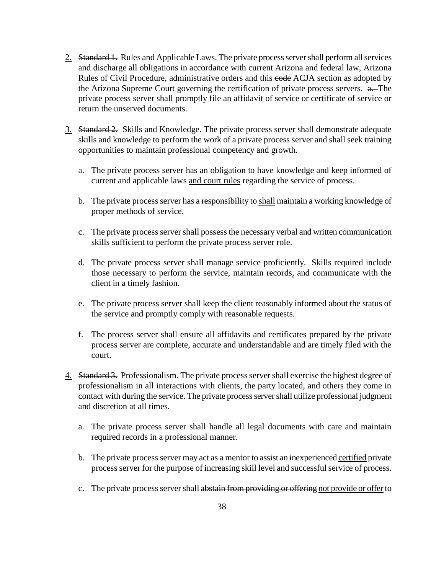- 2. Standard 1. Rules and Applicable Laws. The private process server shall perform all services and discharge all obligations in accordance with current Arizona and federal law, Arizona Rules of Civil Procedure, administrative orders and this eode ACJA section as adopted by the Arizona Supreme Court governing the certification of private process servers. a. The private process server shall promptly file an affidavit of service or certificate of service or return the unserved documents.
- 3. Standard 2. Skills and Knowledge. The private process server shall demonstrate adequate skills and knowledge to perform the work of a private process server and shall seek training opportunities to maintain professional competency and growth.
	- a. The private process server has an obligation to have knowledge and keep informed of current and applicable laws and court rules regarding the service of process.
	- b. The private process server has a responsibility to shall maintain a working knowledge of proper methods of service.
	- c. The private process server shall possess the necessary verbal and written communication skills sufficient to perform the private process server role.
	- d. The private process server shall manage service proficiently. Skills required include those necessary to perform the service, maintain records, and communicate with the client in a timely fashion.
	- e. The private process server shall keep the client reasonably informed about the status of the service and promptly comply with reasonable requests.
	- f. The process server shall ensure all affidavits and certificates prepared by the private process server are complete, accurate and understandable and are timely filed with the court.
- 4. Standard 3. Professionalism. The private process server shall exercise the highest degree of professionalism in all interactions with clients, the party located, and others they come in contact with during the service. The private process server shall utilize professional judgment and discretion at all times.
	- a. The private process server shall handle all legal documents with care and maintain required records in a professional manner.
	- b. The private process server may act as a mentor to assist an inexperienced certified private process server for the purpose of increasing skill level and successful service of process.
	- c. The private process server shall abstain from providing or offering not provide or offer to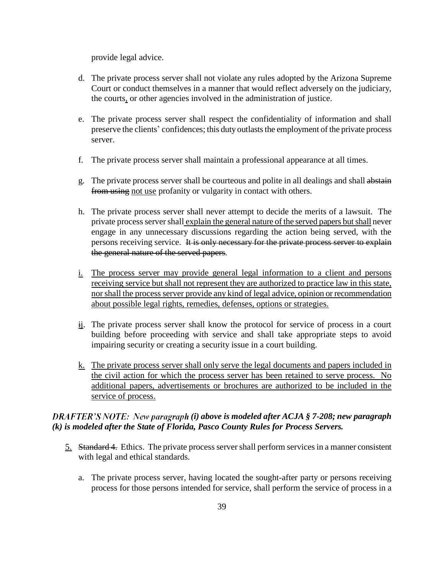provide legal advice.

- d. The private process server shall not violate any rules adopted by the Arizona Supreme Court or conduct themselves in a manner that would reflect adversely on the judiciary, the courts, or other agencies involved in the administration of justice.
- e. The private process server shall respect the confidentiality of information and shall preserve the clients' confidences; this duty outlasts the employment of the private process server.
- f. The private process server shall maintain a professional appearance at all times.
- g. The private process server shall be courteous and polite in all dealings and shall abstain from using not use profanity or vulgarity in contact with others.
- h. The private process server shall never attempt to decide the merits of a lawsuit. The private process server shall explain the general nature of the served papers but shall never engage in any unnecessary discussions regarding the action being served, with the persons receiving service. It is only necessary for the private process server to explain the general nature of the served papers.
- i. The process server may provide general legal information to a client and persons receiving service but shall not represent they are authorized to practice law in this state, nor shall the process server provide any kind of legal advice, opinion or recommendation about possible legal rights, remedies, defenses, options or strategies.
- $\frac{di}{dt}$ . The private process server shall know the protocol for service of process in a court building before proceeding with service and shall take appropriate steps to avoid impairing security or creating a security issue in a court building.
- k. The private process server shall only serve the legal documents and papers included in the civil action for which the process server has been retained to serve process. No additional papers, advertisements or brochures are authorized to be included in the service of process.

### *DRAFTER'S NOTE: New paragraph (i) above is modeled after ACJA § 7-208; new paragraph (k) is modeled after the State of Florida, Pasco County Rules for Process Servers.*

- 5. Standard 4. Ethics.The private process server shall perform services in a manner consistent with legal and ethical standards.
	- a. The private process server, having located the sought-after party or persons receiving process for those persons intended for service, shall perform the service of process in a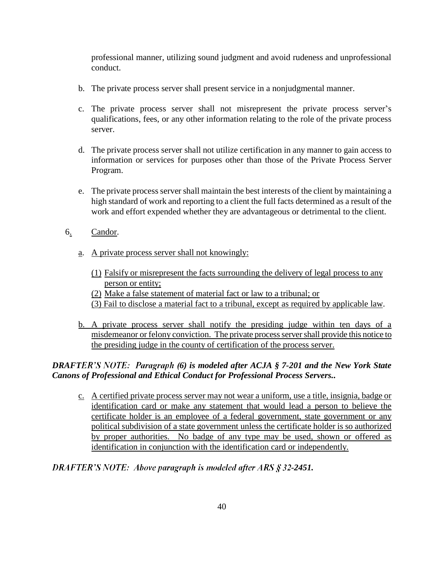professional manner, utilizing sound judgment and avoid rudeness and unprofessional conduct.

- b. The private process server shall present service in a nonjudgmental manner.
- c. The private process server shall not misrepresent the private process server s qualifications, fees, or any other information relating to the role of the private process server.
- d. The private process server shall not utilize certification in any manner to gain access to information or services for purposes other than those of the Private Process Server Program.
- e. The private process server shall maintain the best interests of the client by maintaining a high standard of work and reporting to a client the full facts determined as a result of the work and effort expended whether they are advantageous or detrimental to the client.
- 6. Candor.
	- a. A private process server shall not knowingly:
		- (1) Falsify or misrepresent the facts surrounding the delivery of legal process to any person or entity;
		- (2) Make a false statement of material fact or law to a tribunal; or
		- (3) Fail to disclose a material fact to a tribunal, except as required by applicable law.
	- b. A private process server shall notify the presiding judge within ten days of a misdemeanor or felony conviction. The private process server shall provide this notice to the presiding judge in the county of certification of the process server.

# *DRAFTER'S NOTE: Paragraph (6) is modeled after ACJA § 7-201 and the New York State Canons of Professional and Ethical Conduct for Professional Process Servers..*

c. A certified private process server may not wear a uniform, use a title, insignia, badge or identification card or make any statement that would lead a person to believe the certificate holder is an employee of a federal government, state government or any political subdivision of a state government unless the certificate holder is so authorized by proper authorities. No badge of any type may be used, shown or offered as identification in conjunction with the identification card or independently.

### **DRAFTER'S NOTE:** Above paragraph is modeled after ARS § 32-2451.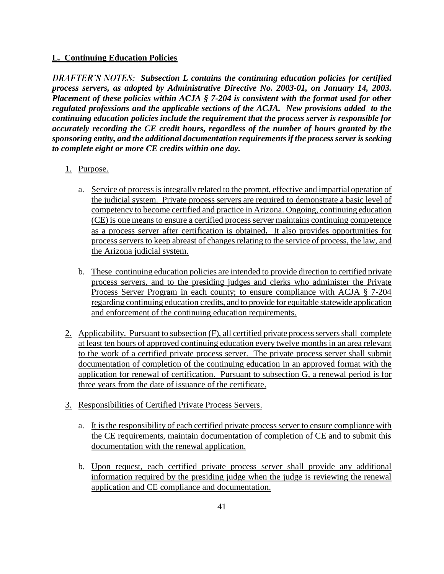## **L. Continuing Education Policies**

**DRAFTER'S NOTES:** Subsection L contains the continuing education policies for certified *process servers, as adopted by Administrative Directive No. 2003-01, on January 14, 2003. Placement of these policies within ACJA § 7-204 is consistent with the format used for other regulated professions and the applicable sections of the ACJA. New provisions added to the continuing education policies include the requirement that the process server is responsible for accurately recording the CE credit hours, regardless of the number of hours granted by the sponsoring entity, and the additional documentation requirements if the process server is seeking to complete eight or more CE credits within one day.* 

## 1. Purpose.

- a. Service of process is integrally related to the prompt, effective and impartial operation of the judicial system. Private process servers are required to demonstrate a basic level of competency to become certified and practice in Arizona. Ongoing, continuing education (CE) is one means to ensure a certified process server maintains continuing competence as a process server after certification is obtained**.** It also provides opportunities for process servers to keep abreast of changes relating to the service of process, the law, and the Arizona judicial system.
- b. These continuing education policies are intended to provide direction to certified private process servers, and to the presiding judges and clerks who administer the Private Process Server Program in each county; to ensure compliance with ACJA § 7-204 regarding continuing education credits, and to provide for equitable statewide application and enforcement of the continuing education requirements.
- 2. Applicability.Pursuant to subsection (F), all certified private process servers shall complete at least ten hours of approved continuing education every twelve months in an area relevant to the work of a certified private process server. The private process server shall submit documentation of completion of the continuing education in an approved format with the application for renewal of certification. Pursuant to subsection G, a renewal period is for three years from the date of issuance of the certificate.
- 3. Responsibilities of Certified Private Process Servers.
	- a. It is the responsibility of each certified private process server to ensure compliance with the CE requirements, maintain documentation of completion of CE and to submit this documentation with the renewal application.
	- b. Upon request, each certified private process server shall provide any additional information required by the presiding judge when the judge is reviewing the renewal application and CE compliance and documentation.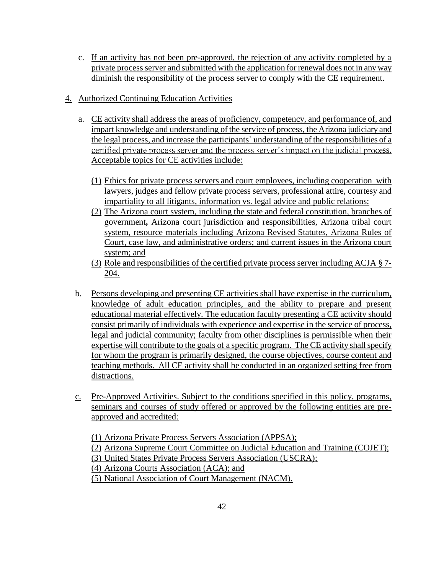- c. If an activity has not been pre-approved, the rejection of any activity completed by a private process server and submitted with the application for renewal does not in any way diminish the responsibility of the process server to comply with the CE requirement.
- 4. Authorized Continuing Education Activities
	- a. CE activity shall address the areas of proficiency, competency, and performance of, and impart knowledge and understanding of the service of process, the Arizona judiciary and the legal process, and increase the participants' understanding of the responsibilities of a certified private process server and the process server's impact on the judicial process. Acceptable topics for CE activities include:
		- (1) Ethics for private process servers and court employees, including cooperation with lawyers, judges and fellow private process servers, professional attire, courtesy and impartiality to all litigants, information vs. legal advice and public relations;
		- (2) The Arizona court system, including the state and federal constitution, branches of government**,** Arizona court jurisdiction and responsibilities, Arizona tribal court system, resource materials including Arizona Revised Statutes, Arizona Rules of Court, case law, and administrative orders; and current issues in the Arizona court system; and
		- (3) Role and responsibilities of the certified private process server including ACJA § 7- 204.
	- b. Persons developing and presenting CE activities shall have expertise in the curriculum, knowledge of adult education principles, and the ability to prepare and present educational material effectively. The education faculty presenting a CE activity should consist primarily of individuals with experience and expertise in the service of process, legal and judicial community; faculty from other disciplines is permissible when their expertise will contribute to the goals of a specific program. The CE activity shall specify for whom the program is primarily designed, the course objectives, course content and teaching methods. All CE activity shall be conducted in an organized setting free from distractions.
	- c. Pre-Approved Activities. Subject to the conditions specified in this policy, programs, seminars and courses of study offered or approved by the following entities are preapproved and accredited:

(1) Arizona Private Process Servers Association (APPSA); (2) Arizona Supreme Court Committee on Judicial Education and Training (COJET); (3) United States Private Process Servers Association (USCRA); (4) Arizona Courts Association (ACA); and (5) National Association of Court Management (NACM).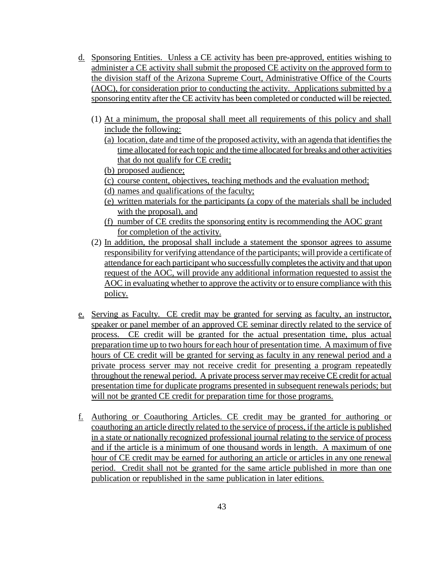- d. Sponsoring Entities. Unless a CE activity has been pre-approved, entities wishing to administer a CE activity shall submit the proposed CE activity on the approved form to the division staff of the Arizona Supreme Court, Administrative Office of the Courts (AOC), for consideration prior to conducting the activity. Applications submitted by a sponsoring entity after the CE activity has been completed or conducted will be rejected.
	- (1) At a minimum, the proposal shall meet all requirements of this policy and shall include the following:
		- (a) location, date and time of the proposed activity, with an agenda that identifies the time allocated for each topic and the time allocated for breaks and other activities that do not qualify for CE credit;
		- (b) proposed audience;
		- (c) course content, objectives, teaching methods and the evaluation method;
		- (d) names and qualifications of the faculty;
		- (e) written materials for the participants (a copy of the materials shall be included with the proposal), and
		- (f) number of CE credits the sponsoring entity is recommending the AOC grant for completion of the activity.
	- (2) In addition, the proposal shall include a statement the sponsor agrees to assume responsibility for verifying attendance of the participants; will provide a certificate of attendance for each participant who successfully completes the activity and that upon request of the AOC, will provide any additional information requested to assist the AOC in evaluating whether to approve the activity or to ensure compliance with this policy.
- e. Serving as Faculty. CE credit may be granted for serving as faculty, an instructor, speaker or panel member of an approved CE seminar directly related to the service of process. CE credit will be granted for the actual presentation time, plus actual preparation time up to two hours for each hour of presentation time. A maximum of five hours of CE credit will be granted for serving as faculty in any renewal period and a private process server may not receive credit for presenting a program repeatedly throughout the renewal period. A private process server may receive CE credit for actual presentation time for duplicate programs presented in subsequent renewals periods; but will not be granted CE credit for preparation time for those programs.
- f. Authoring or Coauthoring Articles. CE credit may be granted for authoring or coauthoring an article directly related to the service of process, if the article is published in a state or nationally recognized professional journal relating to the service of process and if the article is a minimum of one thousand words in length. A maximum of one hour of CE credit may be earned for authoring an article or articles in any one renewal period. Credit shall not be granted for the same article published in more than one publication or republished in the same publication in later editions.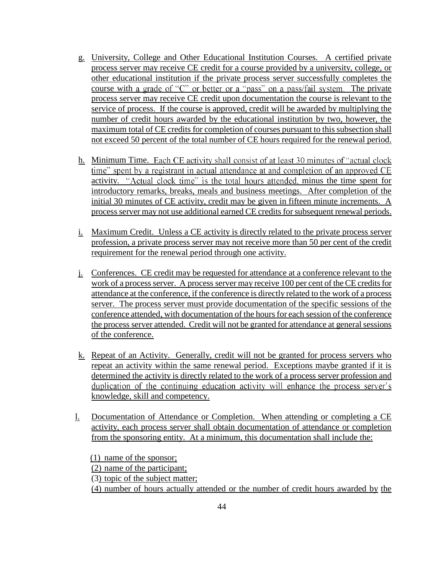- g. University, College and Other Educational Institution Courses. A certified private process server may receive CE credit for a course provided by a university, college, or other educational institution if the private process server successfully completes the course with a grade of " $C$ " or better or a "pass" on a pass/fail system. The private process server may receive CE credit upon documentation the course is relevant to the service of process. If the course is approved, credit will be awarded by multiplying the number of credit hours awarded by the educational institution by two, however, the maximum total of CE credits for completion of courses pursuant to this subsection shall not exceed 50 percent of the total number of CE hours required for the renewal period.
- h. Minimum Time. Each CE activity shall consist of at least 30 minutes of "actual clock" time" spent by a registrant in actual attendance at and completion of an approved CE activity. "Actual clock time" is the total hours attended, minus the time spent for introductory remarks, breaks, meals and business meetings. After completion of the initial 30 minutes of CE activity, credit may be given in fifteen minute increments. A process server may not use additional earned CE credits for subsequent renewal periods.
- i. Maximum Credit. Unless a CE activity is directly related to the private process server profession, a private process server may not receive more than 50 per cent of the credit requirement for the renewal period through one activity.
- j. Conferences. CE credit may be requested for attendance at a conference relevant to the work of a process server. A process server may receive 100 per cent of the CE credits for attendance at the conference, if the conference is directly related to the work of a process server. The process server must provide documentation of the specific sessions of the conference attended, with documentation of the hours for each session of the conference the process server attended. Credit will not be granted for attendance at general sessions of the conference.
- k. Repeat of an Activity. Generally, credit will not be granted for process servers who repeat an activity within the same renewal period. Exceptions maybe granted if it is determined the activity is directly related to the work of a process server profession and duplication of the continuing education activity will enhance the process server's knowledge, skill and competency.
- l. Documentation of Attendance or Completion. When attending or completing a CE activity, each process server shall obtain documentation of attendance or completion from the sponsoring entity. At a minimum, this documentation shall include the:

(1) name of the sponsor; (2) name of the participant; (3) topic of the subject matter; (4) number of hours actually attended or the number of credit hours awarded by the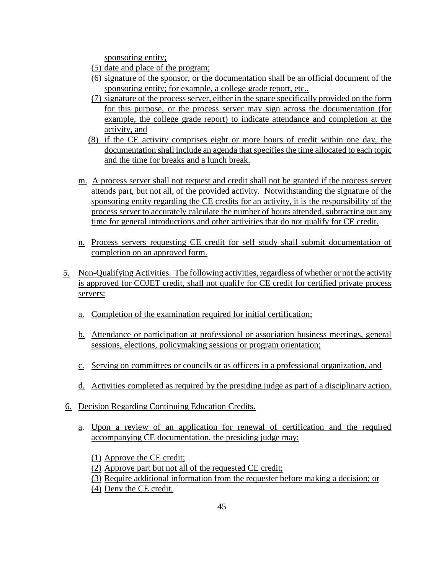sponsoring entity;

- (5) date and place of the program;
- (6) signature of the sponsor, or the documentation shall be an official document of the sponsoring entity; for example, a college grade report, etc.,
- (7) signature of the process server, either in the space specifically provided on the form for this purpose, or the process server may sign across the documentation (for example, the college grade report) to indicate attendance and completion at the activity, and
- (8) if the CE activity comprises eight or more hours of credit within one day, the documentation shall include an agenda that specifies the time allocated to each topic and the time for breaks and a lunch break.
- m. A process server shall not request and credit shall not be granted if the process server attends part, but not all, of the provided activity. Notwithstanding the signature of the sponsoring entity regarding the CE credits for an activity, it is the responsibility of the process server to accurately calculate the number of hours attended, subtracting out any time for general introductions and other activities that do not qualify for CE credit.
- n. Process servers requesting CE credit for self study shall submit documentation of completion on an approved form.
- 5. Non-Qualifying Activities.The following activities, regardless of whether or not the activity is approved for COJET credit, shall not qualify for CE credit for certified private process servers:
	- a. Completion of the examination required for initial certification;
	- b. Attendance or participation at professional or association business meetings, general sessions, elections, policymaking sessions or program orientation;
	- c. Serving on committees or councils or as officers in a professional organization, and
	- d. Activities completed as required by the presiding judge as part of a disciplinary action.
- 6. Decision Regarding Continuing Education Credits.
	- a. Upon a review of an application for renewal of certification and the required accompanying CE documentation, the presiding judge may:
		- (1) Approve the CE credit;
		- (2) Approve part but not all of the requested CE credit;
		- (3) Require additional information from the requester before making a decision; or
		- (4) Deny the CE credit.